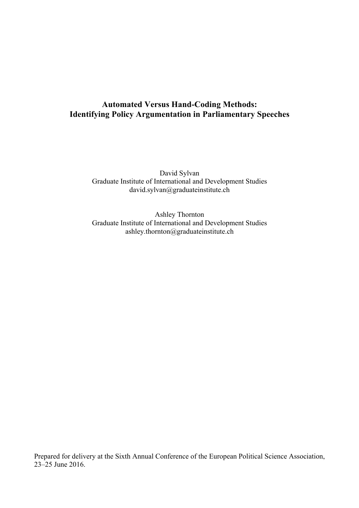# **Automated Versus Hand-Coding Methods: Identifying Policy Argumentation in Parliamentary Speeches**

David Sylvan Graduate Institute of International and Development Studies david.sylvan@graduateinstitute.ch

Ashley Thornton Graduate Institute of International and Development Studies ashley.thornton@graduateinstitute.ch

Prepared for delivery at the Sixth Annual Conference of the European Political Science Association, 23–25 June 2016.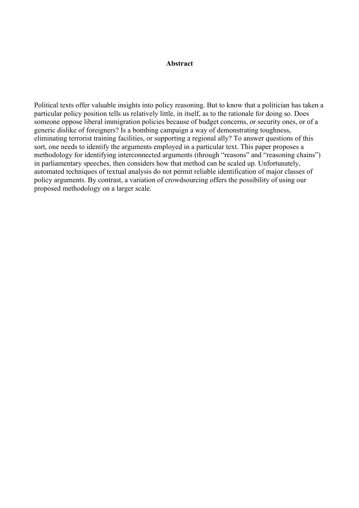## **Abstract**

Political texts offer valuable insights into policy reasoning. But to know that a politician has taken a particular policy position tells us relatively little, in itself, as to the rationale for doing so. Does someone oppose liberal immigration policies because of budget concerns, or security ones, or of a generic dislike of foreigners? Is a bombing campaign a way of demonstrating toughness, eliminating terrorist training facilities, or supporting a regional ally? To answer questions of this sort, one needs to identify the arguments employed in a particular text. This paper proposes a methodology for identifying interconnected arguments (through "reasons" and "reasoning chains") in parliamentary speeches, then considers how that method can be scaled up. Unfortunately, automated techniques of textual analysis do not permit reliable identification of major classes of policy arguments. By contrast, a variation of crowdsourcing offers the possibility of using our proposed methodology on a larger scale.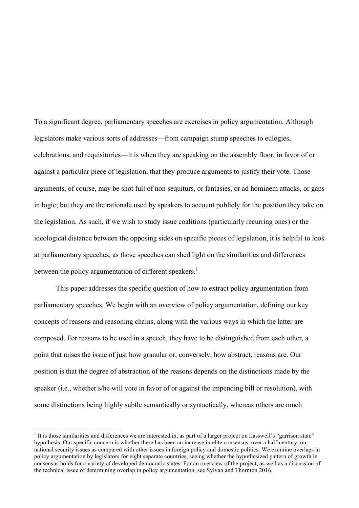To a significant degree, parliamentary speeches are exercises in policy argumentation. Although legislators make various sorts of addresses—from campaign stump speeches to eulogies, celebrations, and requisitories—it is when they are speaking on the assembly floor, in favor of or against a particular piece of legislation, that they produce arguments to justify their vote. Those arguments, of course, may be shot full of non sequiturs, or fantasies, or ad hominem attacks, or gaps in logic; but they are the rationale used by speakers to account publicly for the position they take on the legislation. As such, if we wish to study issue coalitions (particularly recurring ones) or the ideological distance between the opposing sides on specific pieces of legislation, it is helpful to look at parliamentary speeches, as those speeches can shed light on the similarities and differences between the policy argumentation of different speakers.<sup>1</sup>

This paper addresses the specific question of how to extract policy argumentation from parliamentary speeches. We begin with an overview of policy argumentation, defining our key concepts of reasons and reasoning chains, along with the various ways in which the latter are composed. For reasons to be used in a speech, they have to be distinguished from each other, a point that raises the issue of just how granular or, conversely, how abstract, reasons are. Our position is that the degree of abstraction of the reasons depends on the distinctions made by the speaker (i.e., whether s/he will vote in favor of or against the impending bill or resolution), with some distinctions being highly subtle semantically or syntactically, whereas others are much

 $<sup>1</sup>$  It is those similarities and differences we are interested in, as part of a larger project on Lasswell's "garrison state"</sup> hypothesis. Our specific concern is whether there has been an increase in elite consensus, over a half-century, on national security issues as compared with other issues in foreign policy and domestic politics. We examine overlaps in policy argumentation by legislators for eight separate countries, seeing whether the hypothesized pattern of growth in consensus holds for a variety of developed democratic states. For an overview of the project, as well as a discussion of the technical issue of determining overlap in policy argumentation, see Sylvan and Thornton 2016.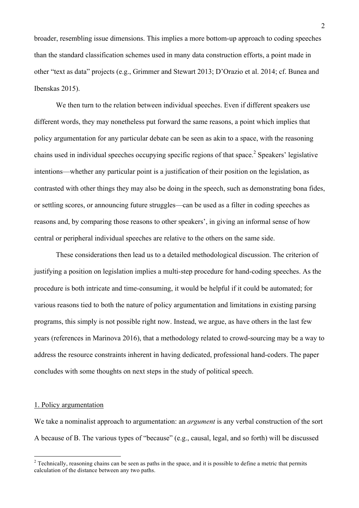broader, resembling issue dimensions. This implies a more bottom-up approach to coding speeches than the standard classification schemes used in many data construction efforts, a point made in other "text as data" projects (e.g., Grimmer and Stewart 2013; D'Orazio et al. 2014; cf. Bunea and Ibenskas 2015).

We then turn to the relation between individual speeches. Even if different speakers use different words, they may nonetheless put forward the same reasons, a point which implies that policy argumentation for any particular debate can be seen as akin to a space, with the reasoning chains used in individual speeches occupying specific regions of that space.<sup>2</sup> Speakers' legislative intentions—whether any particular point is a justification of their position on the legislation, as contrasted with other things they may also be doing in the speech, such as demonstrating bona fides, or settling scores, or announcing future struggles—can be used as a filter in coding speeches as reasons and, by comparing those reasons to other speakers', in giving an informal sense of how central or peripheral individual speeches are relative to the others on the same side.

These considerations then lead us to a detailed methodological discussion. The criterion of justifying a position on legislation implies a multi-step procedure for hand-coding speeches. As the procedure is both intricate and time-consuming, it would be helpful if it could be automated; for various reasons tied to both the nature of policy argumentation and limitations in existing parsing programs, this simply is not possible right now. Instead, we argue, as have others in the last few years (references in Marinova 2016), that a methodology related to crowd-sourcing may be a way to address the resource constraints inherent in having dedicated, professional hand-coders. The paper concludes with some thoughts on next steps in the study of political speech.

#### 1. Policy argumentation

We take a nominalist approach to argumentation: an *argument* is any verbal construction of the sort A because of B. The various types of "because" (e.g., causal, legal, and so forth) will be discussed

 $2$  Technically, reasoning chains can be seen as paths in the space, and it is possible to define a metric that permits calculation of the distance between any two paths.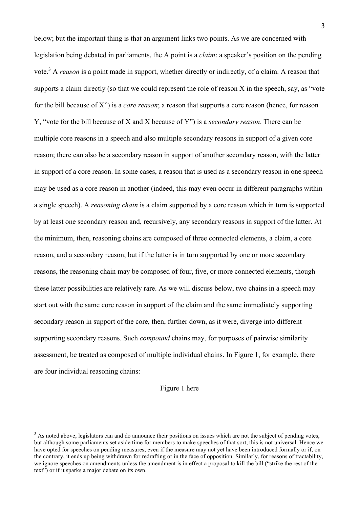below; but the important thing is that an argument links two points. As we are concerned with legislation being debated in parliaments, the A point is a *claim*: a speaker's position on the pending vote.<sup>3</sup> A *reason* is a point made in support, whether directly or indirectly, of a claim. A reason that supports a claim directly (so that we could represent the role of reason X in the speech, say, as "vote for the bill because of X") is a *core reason*; a reason that supports a core reason (hence, for reason Y, "vote for the bill because of X and X because of Y") is a *secondary reason*. There can be multiple core reasons in a speech and also multiple secondary reasons in support of a given core reason; there can also be a secondary reason in support of another secondary reason, with the latter in support of a core reason. In some cases, a reason that is used as a secondary reason in one speech may be used as a core reason in another (indeed, this may even occur in different paragraphs within a single speech). A *reasoning chain* is a claim supported by a core reason which in turn is supported by at least one secondary reason and, recursively, any secondary reasons in support of the latter. At the minimum, then, reasoning chains are composed of three connected elements, a claim, a core reason, and a secondary reason; but if the latter is in turn supported by one or more secondary reasons, the reasoning chain may be composed of four, five, or more connected elements, though these latter possibilities are relatively rare. As we will discuss below, two chains in a speech may start out with the same core reason in support of the claim and the same immediately supporting secondary reason in support of the core, then, further down, as it were, diverge into different supporting secondary reasons. Such *compound* chains may, for purposes of pairwise similarity assessment, be treated as composed of multiple individual chains. In Figure 1, for example, there are four individual reasoning chains:

#### Figure 1 here

 $3$  As noted above, legislators can and do announce their positions on issues which are not the subject of pending votes. but although some parliaments set aside time for members to make speeches of that sort, this is not universal. Hence we have opted for speeches on pending measures, even if the measure may not yet have been introduced formally or if, on the contrary, it ends up being withdrawn for redrafting or in the face of opposition. Similarly, for reasons of tractability, we ignore speeches on amendments unless the amendment is in effect a proposal to kill the bill ("strike the rest of the text") or if it sparks a major debate on its own.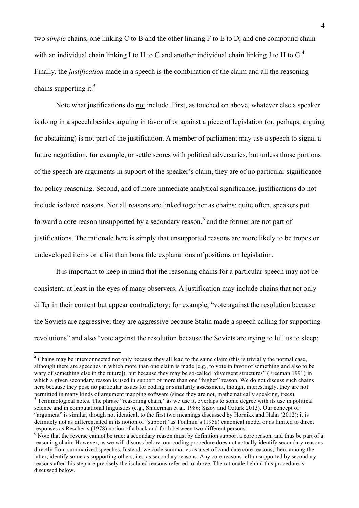two *simple* chains, one linking C to B and the other linking F to E to D; and one compound chain with an individual chain linking I to H to G and another individual chain linking J to H to  $G<sup>4</sup>$ Finally, the *justification* made in a speech is the combination of the claim and all the reasoning chains supporting it.<sup>5</sup>

Note what justifications do not include. First, as touched on above, whatever else a speaker is doing in a speech besides arguing in favor of or against a piece of legislation (or, perhaps, arguing for abstaining) is not part of the justification. A member of parliament may use a speech to signal a future negotiation, for example, or settle scores with political adversaries, but unless those portions of the speech are arguments in support of the speaker's claim, they are of no particular significance for policy reasoning. Second, and of more immediate analytical significance, justifications do not include isolated reasons. Not all reasons are linked together as chains: quite often, speakers put forward a core reason unsupported by a secondary reason.<sup>6</sup> and the former are not part of justifications. The rationale here is simply that unsupported reasons are more likely to be tropes or undeveloped items on a list than bona fide explanations of positions on legislation.

It is important to keep in mind that the reasoning chains for a particular speech may not be consistent, at least in the eyes of many observers. A justification may include chains that not only differ in their content but appear contradictory: for example, "vote against the resolution because the Soviets are aggressive; they are aggressive because Stalin made a speech calling for supporting revolutions" and also "vote against the resolution because the Soviets are trying to lull us to sleep;

<sup>&</sup>lt;sup>4</sup> Chains may be interconnected not only because they all lead to the same claim (this is trivially the normal case, although there are speeches in which more than one claim is made [e.g., to vote in favor of something and also to be wary of something else in the future]), but because they may be so-called "divergent structures" (Freeman 1991) in which a given secondary reason is used in support of more than one "higher" reason. We do not discuss such chains here because they pose no particular issues for coding or similarity assessment, though, interestingly, they are not permitted in many kinds of argument mapping software (since they are not, mathematically speaking, trees).

 $<sup>5</sup>$  Terminological notes. The phrase "reasoning chain," as we use it, overlaps to some degree with its use in political</sup> science and in computational linguistics (e.g., Sniderman et al. 1986; Sizov and Öztürk 2013). Our concept of "argument" is similar, though not identical, to the first two meanings discussed by Hornikx and Hahn (2012); it is definitely not as differentiated in its notion of "support" as Toulmin's (1958) canonical model or as limited to direct responses as Rescher's (1978) notion of a back and forth between two different persons.<br><sup>6</sup> Note that the reverse cannot be true: a secondary reason must by definition support a core reason, and thus be part of a

reasoning chain. However, as we will discuss below, our coding procedure does not actually identify secondary reasons directly from summarized speeches. Instead, we code summaries as a set of candidate core reasons, then, among the latter, identify some as supporting others, i.e., as secondary reasons. Any core reasons left unsupported by secondary reasons after this step are precisely the isolated reasons referred to above. The rationale behind this procedure is discussed below.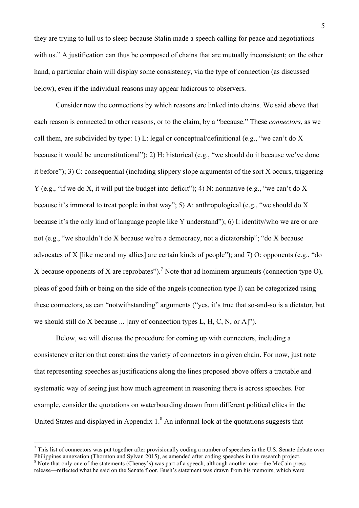they are trying to lull us to sleep because Stalin made a speech calling for peace and negotiations with us." A justification can thus be composed of chains that are mutually inconsistent; on the other hand, a particular chain will display some consistency, via the type of connection (as discussed below), even if the individual reasons may appear ludicrous to observers.

Consider now the connections by which reasons are linked into chains. We said above that each reason is connected to other reasons, or to the claim, by a "because." These *connectors*, as we call them, are subdivided by type: 1) L: legal or conceptual/definitional (e.g., "we can't do X because it would be unconstitutional"); 2) H: historical (e.g., "we should do it because we've done it before"); 3) C: consequential (including slippery slope arguments) of the sort X occurs, triggering Y (e.g., "if we do X, it will put the budget into deficit"); 4) N: normative (e.g., "we can't do X because it's immoral to treat people in that way"; 5) A: anthropological (e.g., "we should do X because it's the only kind of language people like Y understand"); 6) I: identity/who we are or are not (e.g., "we shouldn't do X because we're a democracy, not a dictatorship"; "do X because advocates of X [like me and my allies] are certain kinds of people"); and 7) O: opponents (e.g., "do X because opponents of X are reprobates").<sup>7</sup> Note that ad hominem arguments (connection type O), pleas of good faith or being on the side of the angels (connection type I) can be categorized using these connectors, as can "notwithstanding" arguments ("yes, it's true that so-and-so is a dictator, but we should still do X because ... [any of connection types L, H, C, N, or A]").

Below, we will discuss the procedure for coming up with connectors, including a consistency criterion that constrains the variety of connectors in a given chain. For now, just note that representing speeches as justifications along the lines proposed above offers a tractable and systematic way of seeing just how much agreement in reasoning there is across speeches. For example, consider the quotations on waterboarding drawn from different political elites in the United States and displayed in Appendix  $1<sup>8</sup>$  An informal look at the quotations suggests that

 $<sup>7</sup>$  This list of connectors was put together after provisionally coding a number of speeches in the U.S. Senate debate over</sup> Philippines annexation (Thornton and Sylvan 2015), as amended after coding speeches in the research project. <sup>8</sup> Note that only one of the statements (Cheney's) was part of a speech, although another one—the McCain press release—reflected what he said on the Senate floor. Bush's statement was drawn from his memoirs, which were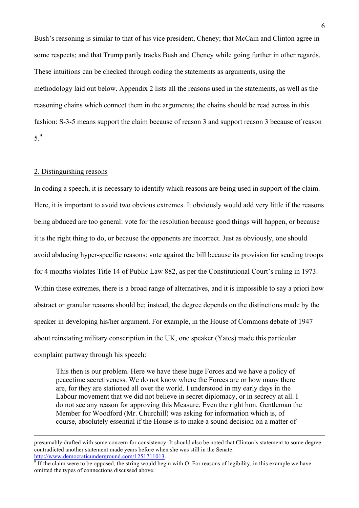Bush's reasoning is similar to that of his vice president, Cheney; that McCain and Clinton agree in some respects; and that Trump partly tracks Bush and Cheney while going further in other regards. These intuitions can be checked through coding the statements as arguments, using the methodology laid out below. Appendix 2 lists all the reasons used in the statements, as well as the reasoning chains which connect them in the arguments; the chains should be read across in this fashion: S-3-5 means support the claim because of reason 3 and support reason 3 because of reason 5.9

## 2. Distinguishing reasons

In coding a speech, it is necessary to identify which reasons are being used in support of the claim. Here, it is important to avoid two obvious extremes. It obviously would add very little if the reasons being abduced are too general: vote for the resolution because good things will happen, or because it is the right thing to do, or because the opponents are incorrect. Just as obviously, one should avoid abducing hyper-specific reasons: vote against the bill because its provision for sending troops for 4 months violates Title 14 of Public Law 882, as per the Constitutional Court's ruling in 1973. Within these extremes, there is a broad range of alternatives, and it is impossible to say a priori how abstract or granular reasons should be; instead, the degree depends on the distinctions made by the speaker in developing his/her argument. For example, in the House of Commons debate of 1947 about reinstating military conscription in the UK, one speaker (Yates) made this particular complaint partway through his speech:

This then is our problem. Here we have these huge Forces and we have a policy of peacetime secretiveness. We do not know where the Forces are or how many there are, for they are stationed all over the world. I understood in my early days in the Labour movement that we did not believe in secret diplomacy, or in secrecy at all. I do not see any reason for approving this Measure. Even the right hon. Gentleman the Member for Woodford (Mr. Churchill) was asking for information which is, of course, absolutely essential if the House is to make a sound decision on a matter of

presumably drafted with some concern for consistency. It should also be noted that Clinton's statement to some degree contradicted another statement made years before when she was still in the Senate:

 $\frac{http://www.democraticunderground.com/1251711013}{0}$  If the claim were to be opposed, the string would begin with O. For reasons of legibility, in this example we have omitted the types of connections discussed above.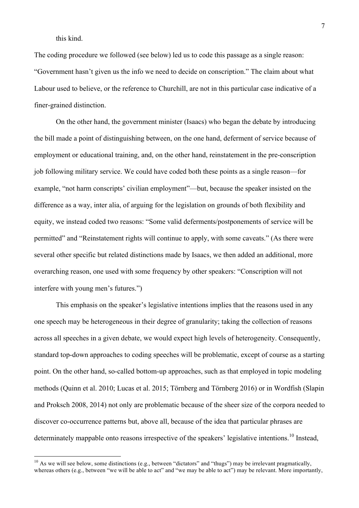#### this kind.

The coding procedure we followed (see below) led us to code this passage as a single reason: "Government hasn't given us the info we need to decide on conscription." The claim about what Labour used to believe, or the reference to Churchill, are not in this particular case indicative of a finer-grained distinction.

On the other hand, the government minister (Isaacs) who began the debate by introducing the bill made a point of distinguishing between, on the one hand, deferment of service because of employment or educational training, and, on the other hand, reinstatement in the pre-conscription job following military service. We could have coded both these points as a single reason—for example, "not harm conscripts' civilian employment"—but, because the speaker insisted on the difference as a way, inter alia, of arguing for the legislation on grounds of both flexibility and equity, we instead coded two reasons: "Some valid deferments/postponements of service will be permitted" and "Reinstatement rights will continue to apply, with some caveats." (As there were several other specific but related distinctions made by Isaacs, we then added an additional, more overarching reason, one used with some frequency by other speakers: "Conscription will not interfere with young men's futures.")

This emphasis on the speaker's legislative intentions implies that the reasons used in any one speech may be heterogeneous in their degree of granularity; taking the collection of reasons across all speeches in a given debate, we would expect high levels of heterogeneity. Consequently, standard top-down approaches to coding speeches will be problematic, except of course as a starting point. On the other hand, so-called bottom-up approaches, such as that employed in topic modeling methods (Quinn et al. 2010; Lucas et al. 2015; Törnberg and Törnberg 2016) or in Wordfish (Slapin and Proksch 2008, 2014) not only are problematic because of the sheer size of the corpora needed to discover co-occurrence patterns but, above all, because of the idea that particular phrases are determinately mappable onto reasons irrespective of the speakers' legislative intentions.<sup>10</sup> Instead,

 $10$  As we will see below, some distinctions (e.g., between "dictators" and "thugs") may be irrelevant pragmatically, whereas others (e.g., between "we will be able to act" and "we may be able to act") may be relevant. More importantly,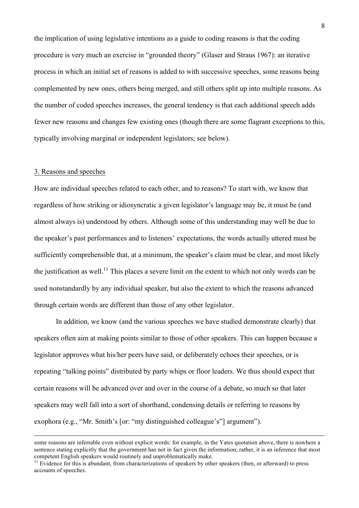the implication of using legislative intentions as a guide to coding reasons is that the coding procedure is very much an exercise in "grounded theory" (Glaser and Straus 1967): an iterative process in which an initial set of reasons is added to with successive speeches, some reasons being complemented by new ones, others being merged, and still others split up into multiple reasons. As the number of coded speeches increases, the general tendency is that each additional speech adds fewer new reasons and changes few existing ones (though there are some flagrant exceptions to this, typically involving marginal or independent legislators; see below).

## 3. Reasons and speeches

How are individual speeches related to each other, and to reasons? To start with, we know that regardless of how striking or idiosyncratic a given legislator's language may be, it must be (and almost always is) understood by others. Although some of this understanding may well be due to the speaker's past performances and to listeners' expectations, the words actually uttered must be sufficiently comprehensible that, at a minimum, the speaker's claim must be clear, and most likely the justification as well.<sup>11</sup> This places a severe limit on the extent to which not only words can be used nonstandardly by any individual speaker, but also the extent to which the reasons advanced through certain words are different than those of any other legislator.

In addition, we know (and the various speeches we have studied demonstrate clearly) that speakers often aim at making points similar to those of other speakers. This can happen because a legislator approves what his/her peers have said, or deliberately echoes their speeches, or is repeating "talking points" distributed by party whips or floor leaders. We thus should expect that certain reasons will be advanced over and over in the course of a debate, so much so that later speakers may well fall into a sort of shorthand, condensing details or referring to reasons by exophora (e.g., "Mr. Smith's [or: "my distinguished colleague's"] argument").

some reasons are inferrable even without explicit words: for example, in the Yates quotation above, there is nowhere a sentence stating explicitly that the government has not in fact given the information; rather, it is an inference that most competent English speakers would routinely and unproblematically make.

 $11$  Evidence for this is abundant, from characterizations of speakers by other speakers (then, or afterward) to press accounts of speeches.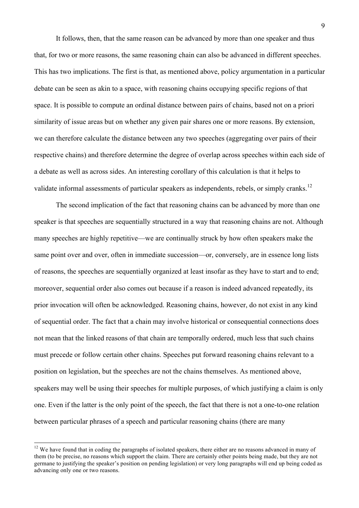It follows, then, that the same reason can be advanced by more than one speaker and thus that, for two or more reasons, the same reasoning chain can also be advanced in different speeches. This has two implications. The first is that, as mentioned above, policy argumentation in a particular debate can be seen as akin to a space, with reasoning chains occupying specific regions of that space. It is possible to compute an ordinal distance between pairs of chains, based not on a priori similarity of issue areas but on whether any given pair shares one or more reasons. By extension, we can therefore calculate the distance between any two speeches (aggregating over pairs of their respective chains) and therefore determine the degree of overlap across speeches within each side of a debate as well as across sides. An interesting corollary of this calculation is that it helps to validate informal assessments of particular speakers as independents, rebels, or simply cranks.<sup>12</sup>

The second implication of the fact that reasoning chains can be advanced by more than one speaker is that speeches are sequentially structured in a way that reasoning chains are not. Although many speeches are highly repetitive—we are continually struck by how often speakers make the same point over and over, often in immediate succession—or, conversely, are in essence long lists of reasons, the speeches are sequentially organized at least insofar as they have to start and to end; moreover, sequential order also comes out because if a reason is indeed advanced repeatedly, its prior invocation will often be acknowledged. Reasoning chains, however, do not exist in any kind of sequential order. The fact that a chain may involve historical or consequential connections does not mean that the linked reasons of that chain are temporally ordered, much less that such chains must precede or follow certain other chains. Speeches put forward reasoning chains relevant to a position on legislation, but the speeches are not the chains themselves. As mentioned above, speakers may well be using their speeches for multiple purposes, of which justifying a claim is only one. Even if the latter is the only point of the speech, the fact that there is not a one-to-one relation between particular phrases of a speech and particular reasoning chains (there are many

 $12$  We have found that in coding the paragraphs of isolated speakers, there either are no reasons advanced in many of them (to be precise, no reasons which support the claim. There are certainly other points being made, but they are not germane to justifying the speaker's position on pending legislation) or very long paragraphs will end up being coded as advancing only one or two reasons.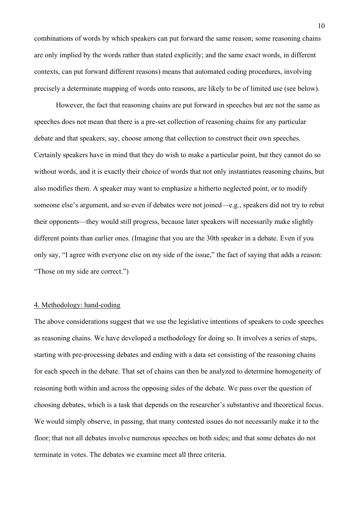combinations of words by which speakers can put forward the same reason; some reasoning chains are only implied by the words rather than stated explicitly; and the same exact words, in different contexts, can put forward different reasons) means that automated coding procedures, involving precisely a determinate mapping of words onto reasons, are likely to be of limited use (see below).

However, the fact that reasoning chains are put forward in speeches but are not the same as speeches does not mean that there is a pre-set collection of reasoning chains for any particular debate and that speakers, say, choose among that collection to construct their own speeches. Certainly speakers have in mind that they do wish to make a particular point, but they cannot do so without words, and it is exactly their choice of words that not only instantiates reasoning chains, but also modifies them. A speaker may want to emphasize a hitherto neglected point, or to modify someone else's argument, and so even if debates were not joined—e.g., speakers did not try to rebut their opponents—they would still progress, because later speakers will necessarily make slightly different points than earlier ones. (Imagine that you are the 30th speaker in a debate. Even if you only say, "I agree with everyone else on my side of the issue," the fact of saying that adds a reason: "Those on my side are correct.")

#### 4. Methodology: hand-coding

The above considerations suggest that we use the legislative intentions of speakers to code speeches as reasoning chains. We have developed a methodology for doing so. It involves a series of steps, starting with pre-processing debates and ending with a data set consisting of the reasoning chains for each speech in the debate. That set of chains can then be analyzed to determine homogeneity of reasoning both within and across the opposing sides of the debate. We pass over the question of choosing debates, which is a task that depends on the researcher's substantive and theoretical focus. We would simply observe, in passing, that many contested issues do not necessarily make it to the floor; that not all debates involve numerous speeches on both sides; and that some debates do not terminate in votes. The debates we examine meet all three criteria.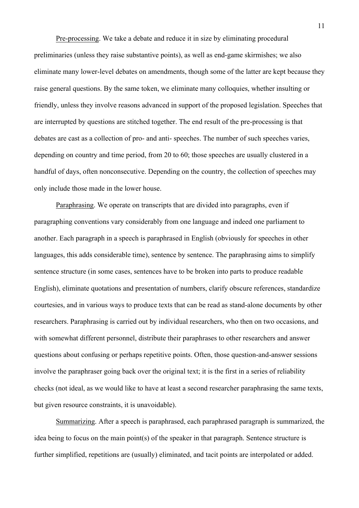Pre-processing. We take a debate and reduce it in size by eliminating procedural preliminaries (unless they raise substantive points), as well as end-game skirmishes; we also eliminate many lower-level debates on amendments, though some of the latter are kept because they raise general questions. By the same token, we eliminate many colloquies, whether insulting or friendly, unless they involve reasons advanced in support of the proposed legislation. Speeches that are interrupted by questions are stitched together. The end result of the pre-processing is that debates are cast as a collection of pro- and anti- speeches. The number of such speeches varies, depending on country and time period, from 20 to 60; those speeches are usually clustered in a handful of days, often nonconsecutive. Depending on the country, the collection of speeches may only include those made in the lower house.

Paraphrasing. We operate on transcripts that are divided into paragraphs, even if paragraphing conventions vary considerably from one language and indeed one parliament to another. Each paragraph in a speech is paraphrased in English (obviously for speeches in other languages, this adds considerable time), sentence by sentence. The paraphrasing aims to simplify sentence structure (in some cases, sentences have to be broken into parts to produce readable English), eliminate quotations and presentation of numbers, clarify obscure references, standardize courtesies, and in various ways to produce texts that can be read as stand-alone documents by other researchers. Paraphrasing is carried out by individual researchers, who then on two occasions, and with somewhat different personnel, distribute their paraphrases to other researchers and answer questions about confusing or perhaps repetitive points. Often, those question-and-answer sessions involve the paraphraser going back over the original text; it is the first in a series of reliability checks (not ideal, as we would like to have at least a second researcher paraphrasing the same texts, but given resource constraints, it is unavoidable).

Summarizing. After a speech is paraphrased, each paraphrased paragraph is summarized, the idea being to focus on the main point(s) of the speaker in that paragraph. Sentence structure is further simplified, repetitions are (usually) eliminated, and tacit points are interpolated or added.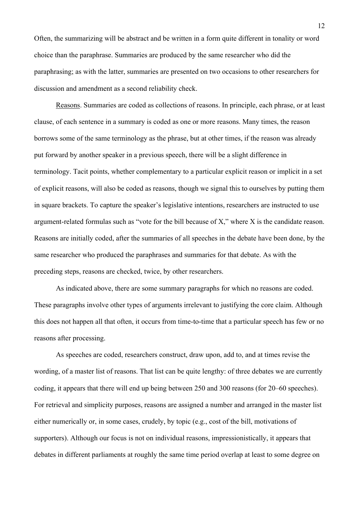Often, the summarizing will be abstract and be written in a form quite different in tonality or word choice than the paraphrase. Summaries are produced by the same researcher who did the paraphrasing; as with the latter, summaries are presented on two occasions to other researchers for discussion and amendment as a second reliability check.

Reasons. Summaries are coded as collections of reasons. In principle, each phrase, or at least clause, of each sentence in a summary is coded as one or more reasons. Many times, the reason borrows some of the same terminology as the phrase, but at other times, if the reason was already put forward by another speaker in a previous speech, there will be a slight difference in terminology. Tacit points, whether complementary to a particular explicit reason or implicit in a set of explicit reasons, will also be coded as reasons, though we signal this to ourselves by putting them in square brackets. To capture the speaker's legislative intentions, researchers are instructed to use argument-related formulas such as "vote for the bill because of X," where X is the candidate reason. Reasons are initially coded, after the summaries of all speeches in the debate have been done, by the same researcher who produced the paraphrases and summaries for that debate. As with the preceding steps, reasons are checked, twice, by other researchers.

As indicated above, there are some summary paragraphs for which no reasons are coded. These paragraphs involve other types of arguments irrelevant to justifying the core claim. Although this does not happen all that often, it occurs from time-to-time that a particular speech has few or no reasons after processing.

As speeches are coded, researchers construct, draw upon, add to, and at times revise the wording, of a master list of reasons. That list can be quite lengthy: of three debates we are currently coding, it appears that there will end up being between 250 and 300 reasons (for 20–60 speeches). For retrieval and simplicity purposes, reasons are assigned a number and arranged in the master list either numerically or, in some cases, crudely, by topic (e.g., cost of the bill, motivations of supporters). Although our focus is not on individual reasons, impressionistically, it appears that debates in different parliaments at roughly the same time period overlap at least to some degree on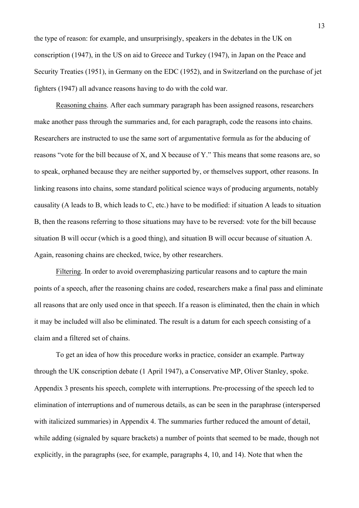the type of reason: for example, and unsurprisingly, speakers in the debates in the UK on conscription (1947), in the US on aid to Greece and Turkey (1947), in Japan on the Peace and Security Treaties (1951), in Germany on the EDC (1952), and in Switzerland on the purchase of jet fighters (1947) all advance reasons having to do with the cold war.

Reasoning chains. After each summary paragraph has been assigned reasons, researchers make another pass through the summaries and, for each paragraph, code the reasons into chains. Researchers are instructed to use the same sort of argumentative formula as for the abducing of reasons "vote for the bill because of X, and X because of Y." This means that some reasons are, so to speak, orphaned because they are neither supported by, or themselves support, other reasons. In linking reasons into chains, some standard political science ways of producing arguments, notably causality (A leads to B, which leads to C, etc.) have to be modified: if situation A leads to situation B, then the reasons referring to those situations may have to be reversed: vote for the bill because situation B will occur (which is a good thing), and situation B will occur because of situation A. Again, reasoning chains are checked, twice, by other researchers.

Filtering. In order to avoid overemphasizing particular reasons and to capture the main points of a speech, after the reasoning chains are coded, researchers make a final pass and eliminate all reasons that are only used once in that speech. If a reason is eliminated, then the chain in which it may be included will also be eliminated. The result is a datum for each speech consisting of a claim and a filtered set of chains.

To get an idea of how this procedure works in practice, consider an example. Partway through the UK conscription debate (1 April 1947), a Conservative MP, Oliver Stanley, spoke. Appendix 3 presents his speech, complete with interruptions. Pre-processing of the speech led to elimination of interruptions and of numerous details, as can be seen in the paraphrase (interspersed with italicized summaries) in Appendix 4. The summaries further reduced the amount of detail, while adding (signaled by square brackets) a number of points that seemed to be made, though not explicitly, in the paragraphs (see, for example, paragraphs 4, 10, and 14). Note that when the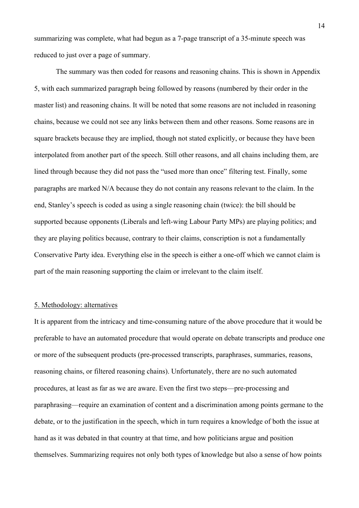summarizing was complete, what had begun as a 7-page transcript of a 35-minute speech was reduced to just over a page of summary.

The summary was then coded for reasons and reasoning chains. This is shown in Appendix 5, with each summarized paragraph being followed by reasons (numbered by their order in the master list) and reasoning chains. It will be noted that some reasons are not included in reasoning chains, because we could not see any links between them and other reasons. Some reasons are in square brackets because they are implied, though not stated explicitly, or because they have been interpolated from another part of the speech. Still other reasons, and all chains including them, are lined through because they did not pass the "used more than once" filtering test. Finally, some paragraphs are marked N/A because they do not contain any reasons relevant to the claim. In the end, Stanley's speech is coded as using a single reasoning chain (twice): the bill should be supported because opponents (Liberals and left-wing Labour Party MPs) are playing politics; and they are playing politics because, contrary to their claims, conscription is not a fundamentally Conservative Party idea. Everything else in the speech is either a one-off which we cannot claim is part of the main reasoning supporting the claim or irrelevant to the claim itself.

#### 5. Methodology: alternatives

It is apparent from the intricacy and time-consuming nature of the above procedure that it would be preferable to have an automated procedure that would operate on debate transcripts and produce one or more of the subsequent products (pre-processed transcripts, paraphrases, summaries, reasons, reasoning chains, or filtered reasoning chains). Unfortunately, there are no such automated procedures, at least as far as we are aware. Even the first two steps—pre-processing and paraphrasing—require an examination of content and a discrimination among points germane to the debate, or to the justification in the speech, which in turn requires a knowledge of both the issue at hand as it was debated in that country at that time, and how politicians argue and position themselves. Summarizing requires not only both types of knowledge but also a sense of how points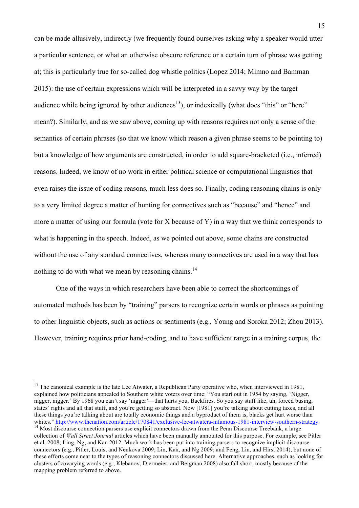can be made allusively, indirectly (we frequently found ourselves asking why a speaker would utter a particular sentence, or what an otherwise obscure reference or a certain turn of phrase was getting at; this is particularly true for so-called dog whistle politics (Lopez 2014; Mimno and Bamman 2015): the use of certain expressions which will be interpreted in a savvy way by the target audience while being ignored by other audiences<sup>13</sup>), or indexically (what does "this" or "here" mean?). Similarly, and as we saw above, coming up with reasons requires not only a sense of the semantics of certain phrases (so that we know which reason a given phrase seems to be pointing to) but a knowledge of how arguments are constructed, in order to add square-bracketed (i.e., inferred) reasons. Indeed, we know of no work in either political science or computational linguistics that even raises the issue of coding reasons, much less does so. Finally, coding reasoning chains is only to a very limited degree a matter of hunting for connectives such as "because" and "hence" and more a matter of using our formula (vote for X because of Y) in a way that we think corresponds to what is happening in the speech. Indeed, as we pointed out above, some chains are constructed without the use of any standard connectives, whereas many connectives are used in a way that has nothing to do with what we mean by reasoning chains.<sup>14</sup>

One of the ways in which researchers have been able to correct the shortcomings of automated methods has been by "training" parsers to recognize certain words or phrases as pointing to other linguistic objects, such as actions or sentiments (e.g., Young and Soroka 2012; Zhou 2013). However, training requires prior hand-coding, and to have sufficient range in a training corpus, the

<sup>&</sup>lt;sup>13</sup> The canonical example is the late Lee Atwater, a Republican Party operative who, when interviewed in 1981, explained how politicians appealed to Southern white voters over time: "You start out in 1954 by saying, 'Nigger, nigger, nigger.' By 1968 you can't say 'nigger'—that hurts you. Backfires. So you say stuff like, uh, forced busing, states' rights and all that stuff, and you're getting so abstract. Now [1981] you're talking about cutting taxes, and all these things you're talking about are totally economic things and a byproduct of them is, blacks get hurt worse than whites." http://www.thenation.com/article/170841/exclusive-lee-atwaters-infamous-1981-interview-southern-strategy <sup>14</sup> Most discourse connection parsers use explicit connectors drawn from the Penn Discourse Treebank, a lar

collection of *Wall Street Journal* articles which have been manually annotated for this purpose. For example, see Pitler et al. 2008; Ling, Ng, and Kan 2012. Much work has been put into training parsers to recognize implicit discourse connectors (e.g., Pitler, Louis, and Nenkova 2009; Lin, Kan, and Ng 2009; and Feng, Lin, and Hirst 2014), but none of these efforts come near to the types of reasoning connectors discussed here. Alternative approaches, such as looking for clusters of covarying words (e.g., Klebanov, Diermeier, and Beigman 2008) also fall short, mostly because of the mapping problem referred to above.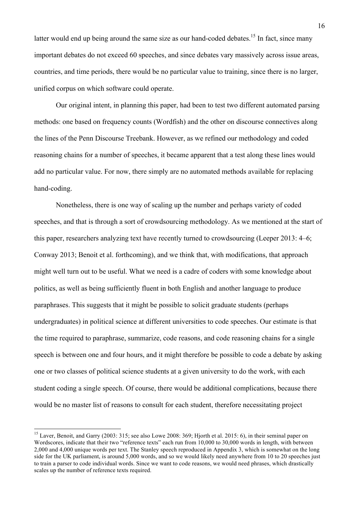latter would end up being around the same size as our hand-coded debates.<sup>15</sup> In fact, since many important debates do not exceed 60 speeches, and since debates vary massively across issue areas, countries, and time periods, there would be no particular value to training, since there is no larger, unified corpus on which software could operate.

Our original intent, in planning this paper, had been to test two different automated parsing methods: one based on frequency counts (Wordfish) and the other on discourse connectives along the lines of the Penn Discourse Treebank. However, as we refined our methodology and coded reasoning chains for a number of speeches, it became apparent that a test along these lines would add no particular value. For now, there simply are no automated methods available for replacing hand-coding.

Nonetheless, there is one way of scaling up the number and perhaps variety of coded speeches, and that is through a sort of crowdsourcing methodology. As we mentioned at the start of this paper, researchers analyzing text have recently turned to crowdsourcing (Leeper 2013: 4–6; Conway 2013; Benoit et al. forthcoming), and we think that, with modifications, that approach might well turn out to be useful. What we need is a cadre of coders with some knowledge about politics, as well as being sufficiently fluent in both English and another language to produce paraphrases. This suggests that it might be possible to solicit graduate students (perhaps undergraduates) in political science at different universities to code speeches. Our estimate is that the time required to paraphrase, summarize, code reasons, and code reasoning chains for a single speech is between one and four hours, and it might therefore be possible to code a debate by asking one or two classes of political science students at a given university to do the work, with each student coding a single speech. Of course, there would be additional complications, because there would be no master list of reasons to consult for each student, therefore necessitating project

<sup>&</sup>lt;sup>15</sup> Laver, Benoit, and Garry (2003: 315; see also Lowe 2008: 369; Hiorth et al. 2015: 6), in their seminal paper on Wordscores, indicate that their two "reference texts" each run from 10,000 to 30,000 words in length, with between 2,000 and 4,000 unique words per text. The Stanley speech reproduced in Appendix 3, which is somewhat on the long side for the UK parliament, is around 5,000 words, and so we would likely need anywhere from 10 to 20 speeches just to train a parser to code individual words. Since we want to code reasons, we would need phrases, which drastically scales up the number of reference texts required.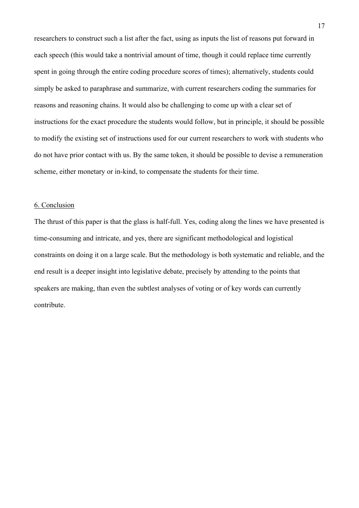researchers to construct such a list after the fact, using as inputs the list of reasons put forward in each speech (this would take a nontrivial amount of time, though it could replace time currently spent in going through the entire coding procedure scores of times); alternatively, students could simply be asked to paraphrase and summarize, with current researchers coding the summaries for reasons and reasoning chains. It would also be challenging to come up with a clear set of instructions for the exact procedure the students would follow, but in principle, it should be possible to modify the existing set of instructions used for our current researchers to work with students who do not have prior contact with us. By the same token, it should be possible to devise a remuneration scheme, either monetary or in-kind, to compensate the students for their time.

#### 6. Conclusion

The thrust of this paper is that the glass is half-full. Yes, coding along the lines we have presented is time-consuming and intricate, and yes, there are significant methodological and logistical constraints on doing it on a large scale. But the methodology is both systematic and reliable, and the end result is a deeper insight into legislative debate, precisely by attending to the points that speakers are making, than even the subtlest analyses of voting or of key words can currently contribute.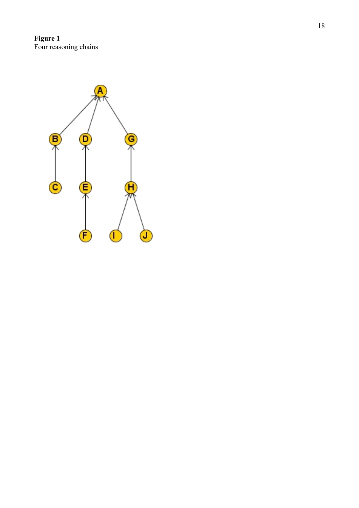**Figure 1** Four reasoning chains

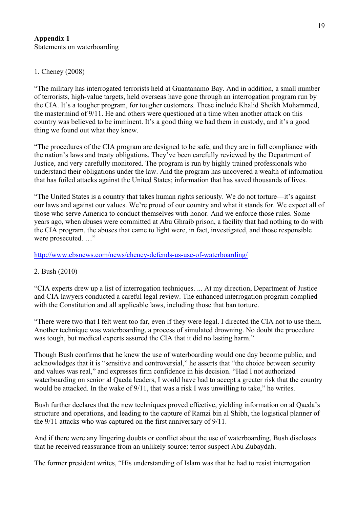# **Appendix 1**  Statements on waterboarding

# 1. Cheney (2008)

"The military has interrogated terrorists held at Guantanamo Bay. And in addition, a small number of terrorists, high-value targets, held overseas have gone through an interrogation program run by the CIA. It's a tougher program, for tougher customers. These include Khalid Sheikh Mohammed, the mastermind of 9/11. He and others were questioned at a time when another attack on this country was believed to be imminent. It's a good thing we had them in custody, and it's a good thing we found out what they knew.

"The procedures of the CIA program are designed to be safe, and they are in full compliance with the nation's laws and treaty obligations. They've been carefully reviewed by the Department of Justice, and very carefully monitored. The program is run by highly trained professionals who understand their obligations under the law. And the program has uncovered a wealth of information that has foiled attacks against the United States; information that has saved thousands of lives.

"The United States is a country that takes human rights seriously. We do not torture—it's against our laws and against our values. We're proud of our country and what it stands for. We expect all of those who serve America to conduct themselves with honor. And we enforce those rules. Some years ago, when abuses were committed at Abu Ghraib prison, a facility that had nothing to do with the CIA program, the abuses that came to light were, in fact, investigated, and those responsible were prosecuted. …"

# http://www.cbsnews.com/news/cheney-defends-us-use-of-waterboarding/

# 2. Bush (2010)

"CIA experts drew up a list of interrogation techniques. ... At my direction, Department of Justice and CIA lawyers conducted a careful legal review. The enhanced interrogation program complied with the Constitution and all applicable laws, including those that ban torture.

"There were two that I felt went too far, even if they were legal. I directed the CIA not to use them. Another technique was waterboarding, a process of simulated drowning. No doubt the procedure was tough, but medical experts assured the CIA that it did no lasting harm."

Though Bush confirms that he knew the use of waterboarding would one day become public, and acknowledges that it is "sensitive and controversial," he asserts that "the choice between security and values was real," and expresses firm confidence in his decision. "Had I not authorized waterboarding on senior al Qaeda leaders, I would have had to accept a greater risk that the country would be attacked. In the wake of 9/11, that was a risk I was unwilling to take," he writes.

Bush further declares that the new techniques proved effective, yielding information on al Qaeda's structure and operations, and leading to the capture of Ramzi bin al Shibh, the logistical planner of the 9/11 attacks who was captured on the first anniversary of 9/11.

And if there were any lingering doubts or conflict about the use of waterboarding, Bush discloses that he received reassurance from an unlikely source: terror suspect Abu Zubaydah.

The former president writes, "His understanding of Islam was that he had to resist interrogation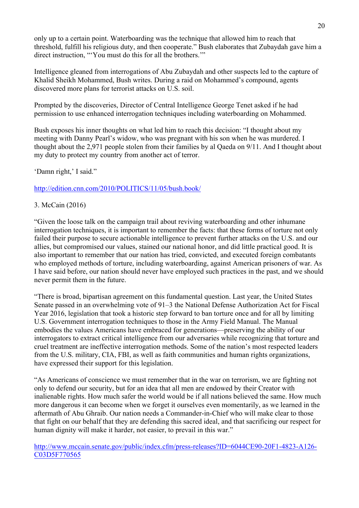only up to a certain point. Waterboarding was the technique that allowed him to reach that threshold, fulfill his religious duty, and then cooperate." Bush elaborates that Zubaydah gave him a direct instruction, "'You must do this for all the brothers.""

Intelligence gleaned from interrogations of Abu Zubaydah and other suspects led to the capture of Khalid Sheikh Mohammed, Bush writes. During a raid on Mohammed's compound, agents discovered more plans for terrorist attacks on U.S. soil.

Prompted by the discoveries, Director of Central Intelligence George Tenet asked if he had permission to use enhanced interrogation techniques including waterboarding on Mohammed.

Bush exposes his inner thoughts on what led him to reach this decision: "I thought about my meeting with Danny Pearl's widow, who was pregnant with his son when he was murdered. I thought about the 2,971 people stolen from their families by al Qaeda on 9/11. And I thought about my duty to protect my country from another act of terror.

'Damn right,' I said."

http://edition.cnn.com/2010/POLITICS/11/05/bush.book/

# 3. McCain (2016)

"Given the loose talk on the campaign trail about reviving waterboarding and other inhumane interrogation techniques, it is important to remember the facts: that these forms of torture not only failed their purpose to secure actionable intelligence to prevent further attacks on the U.S. and our allies, but compromised our values, stained our national honor, and did little practical good. It is also important to remember that our nation has tried, convicted, and executed foreign combatants who employed methods of torture, including waterboarding, against American prisoners of war. As I have said before, our nation should never have employed such practices in the past, and we should never permit them in the future.

"There is broad, bipartisan agreement on this fundamental question. Last year, the United States Senate passed in an overwhelming vote of 91–3 the National Defense Authorization Act for Fiscal Year 2016, legislation that took a historic step forward to ban torture once and for all by limiting U.S. Government interrogation techniques to those in the Army Field Manual. The Manual embodies the values Americans have embraced for generations—preserving the ability of our interrogators to extract critical intelligence from our adversaries while recognizing that torture and cruel treatment are ineffective interrogation methods. Some of the nation's most respected leaders from the U.S. military, CIA, FBI, as well as faith communities and human rights organizations, have expressed their support for this legislation.

"As Americans of conscience we must remember that in the war on terrorism, we are fighting not only to defend our security, but for an idea that all men are endowed by their Creator with inalienable rights. How much safer the world would be if all nations believed the same. How much more dangerous it can become when we forget it ourselves even momentarily, as we learned in the aftermath of Abu Ghraib. Our nation needs a Commander-in-Chief who will make clear to those that fight on our behalf that they are defending this sacred ideal, and that sacrificing our respect for human dignity will make it harder, not easier, to prevail in this war."

http://www.mccain.senate.gov/public/index.cfm/press-releases?ID=6044CE90-20F1-4823-A126- C03D5F770565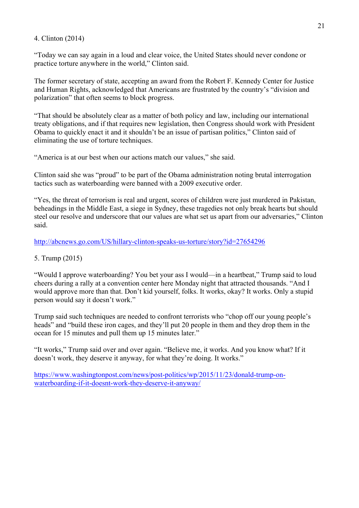## 4. Clinton (2014)

"Today we can say again in a loud and clear voice, the United States should never condone or practice torture anywhere in the world," Clinton said.

The former secretary of state, accepting an award from the Robert F. Kennedy Center for Justice and Human Rights, acknowledged that Americans are frustrated by the country's "division and polarization" that often seems to block progress.

"That should be absolutely clear as a matter of both policy and law, including our international treaty obligations, and if that requires new legislation, then Congress should work with President Obama to quickly enact it and it shouldn't be an issue of partisan politics," Clinton said of eliminating the use of torture techniques.

"America is at our best when our actions match our values," she said.

Clinton said she was "proud" to be part of the Obama administration noting brutal interrogation tactics such as waterboarding were banned with a 2009 executive order.

"Yes, the threat of terrorism is real and urgent, scores of children were just murdered in Pakistan, beheadings in the Middle East, a siege in Sydney, these tragedies not only break hearts but should steel our resolve and underscore that our values are what set us apart from our adversaries," Clinton said.

http://abcnews.go.com/US/hillary-clinton-speaks-us-torture/story?id=27654296

# 5. Trump (2015)

"Would I approve waterboarding? You bet your ass I would—in a heartbeat," Trump said to loud cheers during a rally at a convention center here Monday night that attracted thousands. "And I would approve more than that. Don't kid yourself, folks. It works, okay? It works. Only a stupid person would say it doesn't work."

Trump said such techniques are needed to confront terrorists who "chop off our young people's heads" and "build these iron cages, and they'll put 20 people in them and they drop them in the ocean for 15 minutes and pull them up 15 minutes later."

"It works," Trump said over and over again. "Believe me, it works. And you know what? If it doesn't work, they deserve it anyway, for what they're doing. It works."

https://www.washingtonpost.com/news/post-politics/wp/2015/11/23/donald-trump-onwaterboarding-if-it-doesnt-work-they-deserve-it-anyway/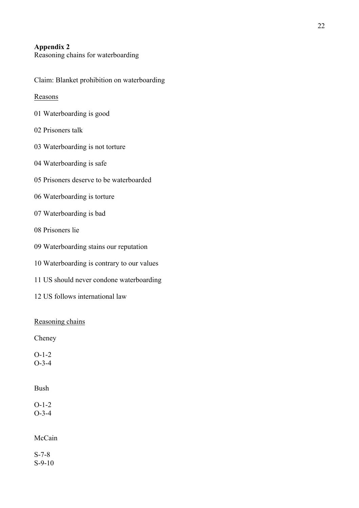# **Appendix 2**

Reasoning chains for waterboarding

Claim: Blanket prohibition on waterboarding

## Reasons

- 01 Waterboarding is good
- 02 Prisoners talk
- 03 Waterboarding is not torture
- 04 Waterboarding is safe
- 05 Prisoners deserve to be waterboarded
- 06 Waterboarding is torture
- 07 Waterboarding is bad
- 08 Prisoners lie
- 09 Waterboarding stains our reputation
- 10 Waterboarding is contrary to our values
- 11 US should never condone waterboarding
- 12 US follows international law

## Reasoning chains

Cheney

O-1-2 O-3-4

## Bush

O-1-2 O-3-4

## McCain

S-7-8 S-9-10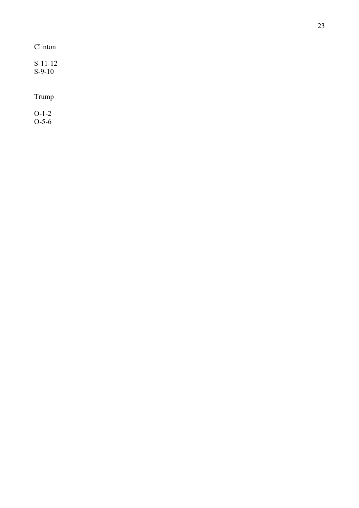# Clinton

| $S-11-12$ |  |
|-----------|--|
| $S-9-10$  |  |

# Trump

O-1-2 O-5-6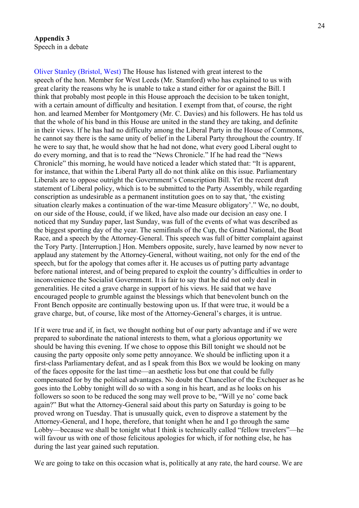## **Appendix 3** Speech in a debate

Oliver Stanley (Bristol, West) The House has listened with great interest to the speech of the hon. Member for West Leeds (Mr. Stamford) who has explained to us with great clarity the reasons why he is unable to take a stand either for or against the Bill. I think that probably most people in this House approach the decision to be taken tonight, with a certain amount of difficulty and hesitation. I exempt from that, of course, the right hon. and learned Member for Montgomery (Mr. C. Davies) and his followers. He has told us that the whole of his band in this House are united in the stand they are taking, and definite in their views. If he has had no difficulty among the Liberal Party in the House of Commons, he cannot say there is the same unity of belief in the Liberal Party throughout the country. If he were to say that, he would show that he had not done, what every good Liberal ought to do every morning, and that is to read the "News Chronicle." If he had read the "News Chronicle" this morning, he would have noticed a leader which stated that: "It is apparent, for instance, that within the Liberal Party all do not think alike on this issue. Parliamentary Liberals are to oppose outright the Government's Conscription Bill. Yet the recent draft statement of Liberal policy, which is to be submitted to the Party Assembly, while regarding conscription as undesirable as a permanent institution goes on to say that, 'the existing situation clearly makes a continuation of the war-time Measure obligatory'." We, no doubt, on our side of the House, could, if we liked, have also made our decision an easy one. I noticed that my Sunday paper, last Sunday, was full of the events of what was described as the biggest sporting day of the year. The semifinals of the Cup, the Grand National, the Boat Race, and a speech by the Attorney-General. This speech was full of bitter complaint against the Tory Party. [Interruption.] Hon. Members opposite, surely, have learned by now never to applaud any statement by the Attorney-General, without waiting, not only for the end of the speech, but for the apology that comes after it. He accuses us of putting party advantage before national interest, and of being prepared to exploit the country's difficulties in order to inconvenience the Socialist Government. It is fair to say that he did not only deal in generalities. He cited a grave charge in support of his views. He said that we have encouraged people to grumble against the blessings which that benevolent bunch on the Front Bench opposite are continually bestowing upon us. If that were true, it would be a grave charge, but, of course, like most of the Attorney-General's charges, it is untrue.

If it were true and if, in fact, we thought nothing but of our party advantage and if we were prepared to subordinate the national interests to them, what a glorious opportunity we should be having this evening. If we chose to oppose this Bill tonight we should not be causing the party opposite only some petty annoyance. We should be inflicting upon it a first-class Parliamentary defeat, and as I speak from this Box we would be looking on many of the faces opposite for the last time—an aesthetic loss but one that could be fully compensated for by the political advantages. No doubt the Chancellor of the Exchequer as he goes into the Lobby tonight will do so with a song in his heart, and as he looks on his followers so soon to be reduced the song may well prove to be, "Will ye no' come back again?" But what the Attorney-General said about this party on Saturday is going to be proved wrong on Tuesday. That is unusually quick, even to disprove a statement by the Attorney-General, and I hope, therefore, that tonight when he and I go through the same Lobby—because we shall be tonight what I think is technically called "fellow travelers"—he will favour us with one of those felicitous apologies for which, if for nothing else, he has during the last year gained such reputation.

We are going to take on this occasion what is, politically at any rate, the hard course. We are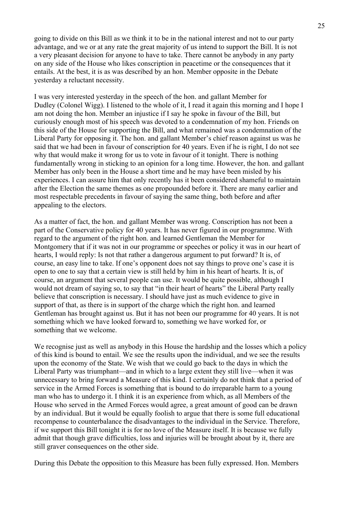going to divide on this Bill as we think it to be in the national interest and not to our party advantage, and we or at any rate the great majority of us intend to support the Bill. It is not a very pleasant decision for anyone to have to take. There cannot be anybody in any party on any side of the House who likes conscription in peacetime or the consequences that it entails. At the best, it is as was described by an hon. Member opposite in the Debate yesterday a reluctant necessity.

I was very interested yesterday in the speech of the hon. and gallant Member for Dudley (Colonel Wigg). I listened to the whole of it, I read it again this morning and I hope I am not doing the hon. Member an injustice if I say he spoke in favour of the Bill, but curiously enough most of his speech was devoted to a condemnation of my hon. Friends on this side of the House for supporting the Bill, and what remained was a condemnation of the Liberal Party for opposing it. The hon. and gallant Member's chief reason against us was he said that we had been in favour of conscription for 40 years. Even if he is right, I do not see why that would make it wrong for us to vote in favour of it tonight. There is nothing fundamentally wrong in sticking to an opinion for a long time. However, the hon. and gallant Member has only been in the House a short time and he may have been misled by his experiences. I can assure him that only recently has it been considered shameful to maintain after the Election the same themes as one propounded before it. There are many earlier and most respectable precedents in favour of saying the same thing, both before and after appealing to the electors.

As a matter of fact, the hon. and gallant Member was wrong. Conscription has not been a part of the Conservative policy for 40 years. It has never figured in our programme. With regard to the argument of the right hon. and learned Gentleman the Member for Montgomery that if it was not in our programme or speeches or policy it was in our heart of hearts, I would reply: Is not that rather a dangerous argument to put forward? It is, of course, an easy line to take. If one's opponent does not say things to prove one's case it is open to one to say that a certain view is still held by him in his heart of hearts. It is, of course, an argument that several people can use. It would be quite possible, although I would not dream of saying so, to say that "in their heart of hearts" the Liberal Party really believe that conscription is necessary. I should have just as much evidence to give in support of that, as there is in support of the charge which the right hon. and learned Gentleman has brought against us. But it has not been our programme for 40 years. It is not something which we have looked forward to, something we have worked for, or something that we welcome.

We recognise just as well as anybody in this House the hardship and the losses which a policy of this kind is bound to entail. We see the results upon the individual, and we see the results upon the economy of the State. We wish that we could go back to the days in which the Liberal Party was triumphant—and in which to a large extent they still live—when it was unnecessary to bring forward a Measure of this kind. I certainly do not think that a period of service in the Armed Forces is something that is bound to do irreparable harm to a young man who has to undergo it. I think it is an experience from which, as all Members of the House who served in the Armed Forces would agree, a great amount of good can be drawn by an individual. But it would be equally foolish to argue that there is some full educational recompense to counterbalance the disadvantages to the individual in the Service. Therefore, if we support this Bill tonight it is for no love of the Measure itself. It is because we fully admit that though grave difficulties, loss and injuries will be brought about by it, there are still graver consequences on the other side.

During this Debate the opposition to this Measure has been fully expressed. Hon. Members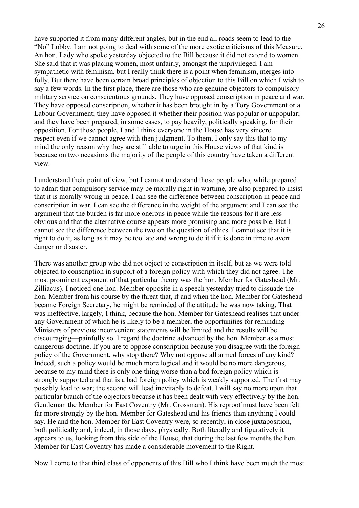have supported it from many different angles, but in the end all roads seem to lead to the "No" Lobby. I am not going to deal with some of the more exotic criticisms of this Measure. An hon. Lady who spoke yesterday objected to the Bill because it did not extend to women. She said that it was placing women, most unfairly, amongst the unprivileged. I am sympathetic with feminism, but I really think there is a point when feminism, merges into folly. But there have been certain broad principles of objection to this Bill on which I wish to say a few words. In the first place, there are those who are genuine objectors to compulsory military service on conscientious grounds. They have opposed conscription in peace and war. They have opposed conscription, whether it has been brought in by a Tory Government or a Labour Government; they have opposed it whether their position was popular or unpopular; and they have been prepared, in some cases, to pay heavily, politically speaking, for their opposition. For those people, I and I think everyone in the House has very sincere respect even if we cannot agree with then judgment. To them, I only say this that to my mind the only reason why they are still able to urge in this House views of that kind is because on two occasions the majority of the people of this country have taken a different view.

I understand their point of view, but I cannot understand those people who, while prepared to admit that compulsory service may be morally right in wartime, are also prepared to insist that it is morally wrong in peace. I can see the difference between conscription in peace and conscription in war. I can see the difference in the weight of the argument and I can see the argument that the burden is far more onerous in peace while the reasons for it are less obvious and that the alternative course appears more promising and more possible. But I cannot see the difference between the two on the question of ethics. I cannot see that it is right to do it, as long as it may be too late and wrong to do it if it is done in time to avert danger or disaster.

There was another group who did not object to conscription in itself, but as we were told objected to conscription in support of a foreign policy with which they did not agree. The most prominent exponent of that particular theory was the hon. Member for Gateshead (Mr. Zilliacus). I noticed one hon. Member opposite in a speech yesterday tried to dissuade the hon. Member from his course by the threat that, if and when the hon. Member for Gateshead became Foreign Secretary, he might be reminded of the attitude he was now taking. That was ineffective, largely, I think, because the hon. Member for Gateshead realises that under any Government of which he is likely to be a member, the opportunities for reminding Ministers of previous inconvenient statements will be limited and the results will be discouraging—painfully so. I regard the doctrine advanced by the hon. Member as a most dangerous doctrine. If you are to oppose conscription because you disagree with the foreign policy of the Government, why stop there? Why not oppose all armed forces of any kind? Indeed, such a policy would be much more logical and it would be no more dangerous, because to my mind there is only one thing worse than a bad foreign policy which is strongly supported and that is a bad foreign policy which is weakly supported. The first may possibly lead to war; the second will lead inevitably to defeat. I will say no more upon that particular branch of the objectors because it has been dealt with very effectively by the hon. Gentleman the Member for East Coventry (Mr. Crossman). His reproof must have been felt far more strongly by the hon. Member for Gateshead and his friends than anything I could say. He and the hon. Member for East Coventry were, so recently, in close juxtaposition, both politically and, indeed, in those days, physically. Both literally and figuratively it appears to us, looking from this side of the House, that during the last few months the hon. Member for East Coventry has made a considerable movement to the Right.

Now I come to that third class of opponents of this Bill who I think have been much the most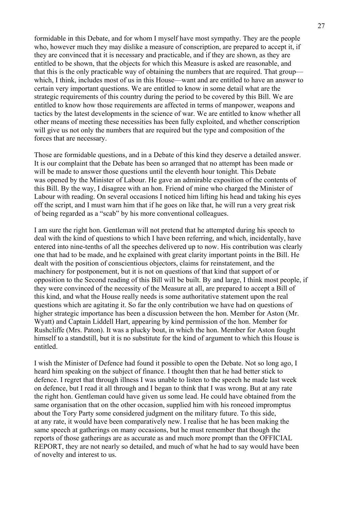formidable in this Debate, and for whom I myself have most sympathy. They are the people who, however much they may dislike a measure of conscription, are prepared to accept it, if they are convinced that it is necessary and practicable, and if they are shown, as they are entitled to be shown, that the objects for which this Measure is asked are reasonable, and that this is the only practicable way of obtaining the numbers that are required. That group which, I think, includes most of us in this House—want and are entitled to have an answer to certain very important questions. We are entitled to know in some detail what are the strategic requirements of this country during the period to be covered by this Bill. We are entitled to know how those requirements are affected in terms of manpower, weapons and tactics by the latest developments in the science of war. We are entitled to know whether all other means of meeting these necessities has been fully exploited, and whether conscription will give us not only the numbers that are required but the type and composition of the forces that are necessary.

Those are formidable questions, and in a Debate of this kind they deserve a detailed answer. It is our complaint that the Debate has been so arranged that no attempt has been made or will be made to answer those questions until the eleventh hour tonight. This Debate was opened by the Minister of Labour. He gave an admirable exposition of the contents of this Bill. By the way, I disagree with an hon. Friend of mine who charged the Minister of Labour with reading. On several occasions I noticed him lifting his head and taking his eyes off the script, and I must warn him that if he goes on like that, he will run a very great risk of being regarded as a "scab" by his more conventional colleagues.

I am sure the right hon. Gentleman will not pretend that he attempted during his speech to deal with the kind of questions to which I have been referring, and which, incidentally, have entered into nine-tenths of all the speeches delivered up to now. His contribution was clearly one that had to be made, and he explained with great clarity important points in the Bill. He dealt with the position of conscientious objectors, claims for reinstatement, and the machinery for postponement, but it is not on questions of that kind that support of or opposition to the Second reading of this Bill will be built. By and large, I think most people, if they were convinced of the necessity of the Measure at all, are prepared to accept a Bill of this kind, and what the House really needs is some authoritative statement upon the real questions which are agitating it. So far the only contribution we have had on questions of higher strategic importance has been a discussion between the hon. Member for Aston (Mr. Wyatt) and Captain Liddell Hart, appearing by kind permission of the hon. Member for Rushcliffe (Mrs. Paton). It was a plucky bout, in which the hon. Member for Aston fought himself to a standstill, but it is no substitute for the kind of argument to which this House is entitled.

I wish the Minister of Defence had found it possible to open the Debate. Not so long ago, I heard him speaking on the subject of finance. I thought then that he had better stick to defence. I regret that through illness I was unable to listen to the speech he made last week on defence, but I read it all through and I began to think that I was wrong. But at any rate the right hon. Gentleman could have given us some lead. He could have obtained from the same organisation that on the other occasion, supplied him with his roneoed impromptus about the Tory Party some considered judgment on the military future. To this side, at any rate, it would have been comparatively new. I realise that he has been making the same speech at gatherings on many occasions, but he must remember that though the reports of those gatherings are as accurate as and much more prompt than the OFFICIAL REPORT, they are not nearly so detailed, and much of what he had to say would have been of novelty and interest to us.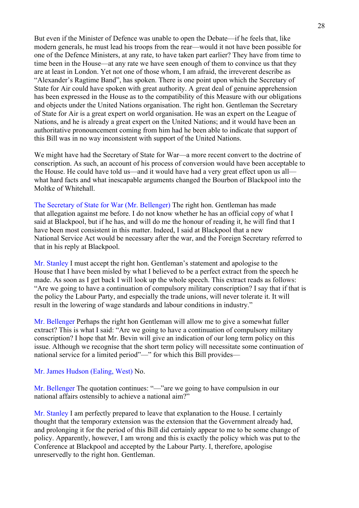But even if the Minister of Defence was unable to open the Debate—if he feels that, like modern generals, he must lead his troops from the rear—would it not have been possible for one of the Defence Ministers, at any rate, to have taken part earlier? They have from time to time been in the House—at any rate we have seen enough of them to convince us that they are at least in London. Yet not one of those whom, I am afraid, the irreverent describe as "Alexander's Ragtime Band", has spoken. There is one point upon which the Secretary of State for Air could have spoken with great authority. A great deal of genuine apprehension has been expressed in the House as to the compatibility of this Measure with our obligations and objects under the United Nations organisation. The right hon. Gentleman the Secretary of State for Air is a great expert on world organisation. He was an expert on the League of Nations, and he is already a great expert on the United Nations; and it would have been an authoritative pronouncement coming from him had he been able to indicate that support of this Bill was in no way inconsistent with support of the United Nations.

We might have had the Secretary of State for War—a more recent convert to the doctrine of conscription. As such, an account of his process of conversion would have been acceptable to the House. He could have told us—and it would have had a very great effect upon us all what hard facts and what inescapable arguments changed the Bourbon of Blackpool into the Moltke of Whitehall.

The Secretary of State for War (Mr. Bellenger) The right hon. Gentleman has made that allegation against me before. I do not know whether he has an official copy of what I said at Blackpool, but if he has, and will do me the honour of reading it, he will find that I have been most consistent in this matter. Indeed, I said at Blackpool that a new National Service Act would be necessary after the war, and the Foreign Secretary referred to that in his reply at Blackpool.

Mr. Stanley I must accept the right hon. Gentleman's statement and apologise to the House that I have been misled by what I believed to be a perfect extract from the speech he made. As soon as I get back I will look up the whole speech. This extract reads as follows: "Are we going to have a continuation of compulsory military conscription? I say that if that is the policy the Labour Party, and especially the trade unions, will never tolerate it. It will result in the lowering of wage standards and labour conditions in industry."

Mr. Bellenger Perhaps the right hon Gentleman will allow me to give a somewhat fuller extract? This is what I said: "Are we going to have a continuation of compulsory military conscription? I hope that Mr. Bevin will give an indication of our long term policy on this issue. Although we recognise that the short term policy will necessitate some continuation of national service for a limited period"—" for which this Bill provides—

#### Mr. James Hudson (Ealing, West) No.

Mr. Bellenger The quotation continues: "—"are we going to have compulsion in our national affairs ostensibly to achieve a national aim?"

Mr. Stanley I am perfectly prepared to leave that explanation to the House. I certainly thought that the temporary extension was the extension that the Government already had, and prolonging it for the period of this Bill did certainly appear to me to be some change of policy. Apparently, however, I am wrong and this is exactly the policy which was put to the Conference at Blackpool and accepted by the Labour Party. I, therefore, apologise unreservedly to the right hon. Gentleman.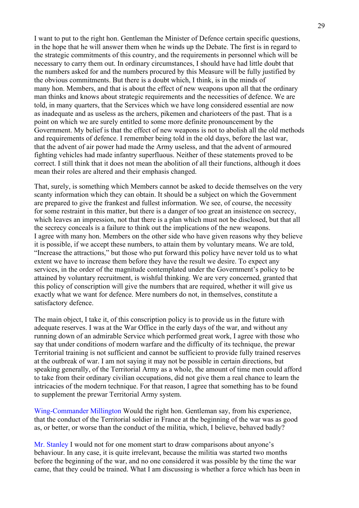I want to put to the right hon. Gentleman the Minister of Defence certain specific questions, in the hope that he will answer them when he winds up the Debate. The first is in regard to the strategic commitments of this country, and the requirements in personnel which will be necessary to carry them out. In ordinary circumstances, I should have had little doubt that the numbers asked for and the numbers procured by this Measure will be fully justified by the obvious commitments. But there is a doubt which, I think, is in the minds of many hon. Members, and that is about the effect of new weapons upon all that the ordinary man thinks and knows about strategic requirements and the necessities of defence. We are told, in many quarters, that the Services which we have long considered essential are now as inadequate and as useless as the archers, pikemen and charioteers of the past. That is a point on which we are surely entitled to some more definite pronouncement by the Government. My belief is that the effect of new weapons is not to abolish all the old methods and requirements of defence. I remember being told in the old days, before the last war, that the advent of air power had made the Army useless, and that the advent of armoured fighting vehicles had made infantry superfluous. Neither of these statements proved to be correct. I still think that it does not mean the abolition of all their functions, although it does mean their roles are altered and their emphasis changed.

That, surely, is something which Members cannot be asked to decide themselves on the very scanty information which they can obtain. It should be a subject on which the Government are prepared to give the frankest and fullest information. We see, of course, the necessity for some restraint in this matter, but there is a danger of too great an insistence on secrecy, which leaves an impression, not that there is a plan which must not be disclosed, but that all the secrecy conceals is a failure to think out the implications of the new weapons. I agree with many hon. Members on the other side who have given reasons why they believe it is possible, if we accept these numbers, to attain them by voluntary means. We are told, "Increase the attractions," but those who put forward this policy have never told us to what extent we have to increase them before they have the result we desire. To expect any services, in the order of the magnitude contemplated under the Government's policy to be attained by voluntary recruitment, is wishful thinking. We are very concerned, granted that this policy of conscription will give the numbers that are required, whether it will give us exactly what we want for defence. Mere numbers do not, in themselves, constitute a satisfactory defence.

The main object, I take it, of this conscription policy is to provide us in the future with adequate reserves. I was at the War Office in the early days of the war, and without any running down of an admirable Service which performed great work, I agree with those who say that under conditions of modern warfare and the difficulty of its technique, the prewar Territorial training is not sufficient and cannot be sufficient to provide fully trained reserves at the outbreak of war. I am not saying it may not be possible in certain directions, but speaking generally, of the Territorial Army as a whole, the amount of time men could afford to take from their ordinary civilian occupations, did not give them a real chance to learn the intricacies of the modern technique. For that reason, I agree that something has to be found to supplement the prewar Territorial Army system.

Wing-Commander Millington Would the right hon. Gentleman say, from his experience, that the conduct of the Territorial soldier in France at the beginning of the war was as good as, or better, or worse than the conduct of the militia, which, I believe, behaved badly?

Mr. Stanley I would not for one moment start to draw comparisons about anyone's behaviour. In any case, it is quite irrelevant, because the militia was started two months before the beginning of the war, and no one considered it was possible by the time the war came, that they could be trained. What I am discussing is whether a force which has been in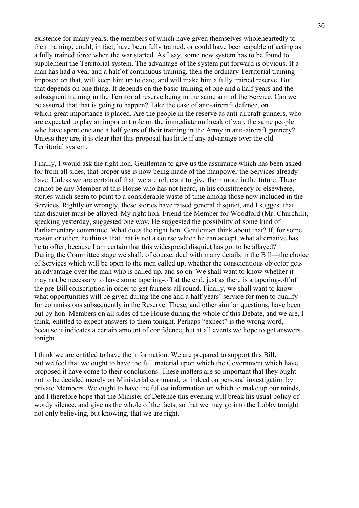existence for many years, the members of which have given themselves wholeheartedly to their training, could, in fact, have been fully trained, or could have been capable of acting as a fully trained force when the war started. As I say, some new system has to be found to supplement the Territorial system. The advantage of the system put forward is obvious. If a man has had a year and a half of continuous training, then the ordinary Territorial training imposed on that, will keep him up to date, and will make him a fully trained reserve. But that depends on one thing. It depends on the basic training of one and a half years and the subsequent training in the Territorial reserve being in the same arm of the Service. Can we be assured that that is going to happen? Take the case of anti-aircraft defence, on which great importance is placed. Are the people in the reserve as anti-aircraft gunners, who are expected to play an important role on the immediate outbreak of war, the same people who have spent one and a half years of their training in the Army in anti-aircraft gunnery? Unless they are, it is clear that this proposal has little if any advantage over the old Territorial system.

Finally, I would ask the right hon. Gentleman to give us the assurance which has been asked for from all sides, that proper use is now being made of the manpower the Services already have. Unless we are certain of that, we are reluctant to give them more in the future. There cannot be any Member of this House who has not heard, in his constituency or elsewhere, stories which seem to point to a considerable waste of time among those now included in the Services. Rightly or wrongly, these stories have raised general disquiet, and I suggest that that disquiet must be allayed. My right hon. Friend the Member for Woodford (Mr. Churchill), speaking yesterday, suggested one way. He suggested the possibility of some kind of Parliamentary committee. What does the right hon. Gentleman think about that? If, for some reason or other, he thinks that that is not a course which he can accept, what alternative has he to offer, because I am certain that this widespread disquiet has got to be allayed? During the Committee stage we shall, of course, deal with many details in the Bill—the choice of Services which will be open to the men called up, whether the conscientious objector gets an advantage over the man who is called up, and so on. We shall want to know whether it may not be necessary to have some tapering-off at the end, just as there is a tapering-off of the pre-Bill conscription in order to get fairness all round. Finally, we shall want to know what opportunities will be given during the one and a half years' service for men to qualify for commissions subsequently in the Reserve. These, and other similar questions, have been put by hon. Members on all sides of the House during the whole of this Debate, and we are, I think, entitled to expect answers to them tonight. Perhaps "expect" is the wrong word, because it indicates a certain amount of confidence, but at all events we hope to get answers tonight.

I think we are entitled to have the information. We are prepared to support this Bill, but we feel that we ought to have the full material upon which the Government which have proposed it have come to their conclusions. These matters are so important that they ought not to be decided merely on Ministerial command, or indeed on personal investigation by private Members. We ought to have the fullest information on which to make up our minds, and I therefore hope that the Minister of Defence this evening will break his usual policy of wordy silence, and give us the whole of the facts, so that we may go into the Lobby tonight not only believing, but knowing, that we are right.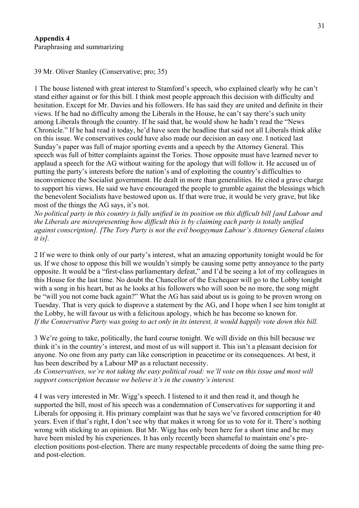39 Mr. Oliver Stanley (Conservative; pro; 35)

1 The house listened with great interest to Stamford's speech, who explained clearly why he can't stand either against or for this bill. I think most people approach this decision with difficulty and hesitation. Except for Mr. Davies and his followers. He has said they are united and definite in their views. If he had no difficulty among the Liberals in the House, he can't say there's such unity among Liberals through the country. If he said that, he would show he hadn't read the "News Chronicle." If he had read it today, he'd have seen the headline that said not all Liberals think alike on this issue. We conservatives could have also made our decision an easy one. I noticed last Sunday's paper was full of major sporting events and a speech by the Attorney General. This speech was full of bitter complaints against the Tories. Those opposite must have learned never to applaud a speech for the AG without waiting for the apology that will follow it. He accused us of putting the party's interests before the nation's and of exploiting the country's difficulties to inconvenience the Socialist government. He dealt in more than generalities. He cited a grave charge to support his views. He said we have encouraged the people to grumble against the blessings which the benevolent Socialists have bestowed upon us. If that were true, it would be very grave, but like most of the things the AG says, it's not.

*No political party in this country is fully unified in its position on this difficult bill [and Labour and the Liberals are misrepresenting how difficult this is by claiming each party is totally unified against conscription]. [The Tory Party is not the evil boogeyman Labour's Attorney General claims it is].*

2 If we were to think only of our party's interest, what an amazing opportunity tonight would be for us. If we chose to oppose this bill we wouldn't simply be causing some petty annoyance to the party opposite. It would be a "first-class parliamentary defeat," and I'd be seeing a lot of my colleagues in this House for the last time. No doubt the Chancellor of the Exchequer will go to the Lobby tonight with a song in his heart, but as he looks at his followers who will soon be no more, the song might be "will you not come back again?" What the AG has said about us is going to be proven wrong on Tuesday. That is very quick to disprove a statement by the AG, and I hope when I see him tonight at the Lobby, he will favour us with a felicitous apology, which he has become so known for. *If the Conservative Party was going to act only in its interest, it would happily vote down this bill.*

3 We're going to take, politically, the hard course tonight. We will divide on this bill because we think it's in the country's interest, and most of us will support it. This isn't a pleasant decision for anyone. No one from any party can like conscription in peacetime or its consequences. At best, it has been described by a Labour MP as a reluctant necessity.

*As Conservatives, we're not taking the easy political road: we'll vote on this issue and most will support conscription because we believe it's in the country's interest.*

4 I was very interested in Mr. Wigg's speech. I listened to it and then read it, and though he supported the bill, most of his speech was a condemnation of Conservatives for supporting it and Liberals for opposing it. His primary complaint was that he says we've favored conscription for 40 years. Even if that's right, I don't see why that makes it wrong for us to vote for it. There's nothing wrong with sticking to an opinion. But Mr. Wigg has only been here for a short time and he may have been misled by his experiences. It has only recently been shameful to maintain one's preelection positions post-election. There are many respectable precedents of doing the same thing preand post-election.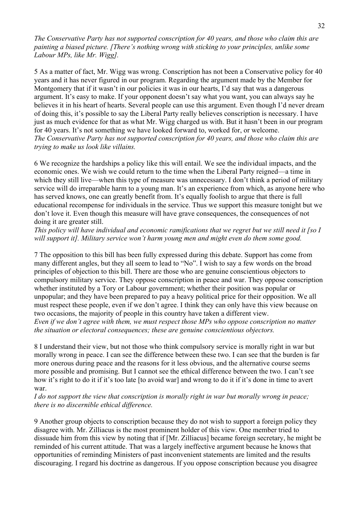*The Conservative Party has not supported conscription for 40 years, and those who claim this are painting a biased picture. [There's nothing wrong with sticking to your principles, unlike some Labour MPs, like Mr. Wigg].*

5 As a matter of fact, Mr. Wigg was wrong. Conscription has not been a Conservative policy for 40 years and it has never figured in our program. Regarding the argument made by the Member for Montgomery that if it wasn't in our policies it was in our hearts, I'd say that was a dangerous argument. It's easy to make. If your opponent doesn't say what you want, you can always say he believes it in his heart of hearts. Several people can use this argument. Even though I'd never dream of doing this, it's possible to say the Liberal Party really believes conscription is necessary. I have just as much evidence for that as what Mr. Wigg charged us with. But it hasn't been in our program for 40 years. It's not something we have looked forward to, worked for, or welcome. *The Conservative Party has not supported conscription for 40 years, and those who claim this are trying to make us look like villains.*

6 We recognize the hardships a policy like this will entail. We see the individual impacts, and the economic ones. We wish we could return to the time when the Liberal Party reigned—a time in which they still live—when this type of measure was unnecessary. I don't think a period of military service will do irreparable harm to a young man. It's an experience from which, as anyone here who has served knows, one can greatly benefit from. It's equally foolish to argue that there is full educational recompense for individuals in the service. Thus we support this measure tonight but we don't love it. Even though this measure will have grave consequences, the consequences of not doing it are greater still.

*This policy will have individual and economic ramifications that we regret but we still need it [so I will support it]. Military service won't harm young men and might even do them some good.* 

7 The opposition to this bill has been fully expressed during this debate. Support has come from many different angles, but they all seem to lead to "No". I wish to say a few words on the broad principles of objection to this bill. There are those who are genuine conscientious objectors to compulsory military service. They oppose conscription in peace and war. They oppose conscription whether instituted by a Tory or Labour government; whether their position was popular or unpopular; and they have been prepared to pay a heavy political price for their opposition. We all must respect these people, even if we don't agree. I think they can only have this view because on two occasions, the majority of people in this country have taken a different view. *Even if we don't agree with them, we must respect those MPs who oppose conscription no matter the situation or electoral consequences; these are genuine conscientious objectors.*

8 I understand their view, but not those who think compulsory service is morally right in war but morally wrong in peace. I can see the difference between these two. I can see that the burden is far more onerous during peace and the reasons for it less obvious, and the alternative course seems more possible and promising. But I cannot see the ethical difference between the two. I can't see how it's right to do it if it's too late [to avoid war] and wrong to do it if it's done in time to avert war.

#### *I do not support the view that conscription is morally right in war but morally wrong in peace; there is no discernible ethical difference.*

9 Another group objects to conscription because they do not wish to support a foreign policy they disagree with. Mr. Zilliacus is the most prominent holder of this view. One member tried to dissuade him from this view by noting that if [Mr. Zilliacus] became foreign secretary, he might be reminded of his current attitude. That was a largely ineffective argument because he knows that opportunities of reminding Ministers of past inconvenient statements are limited and the results discouraging. I regard his doctrine as dangerous. If you oppose conscription because you disagree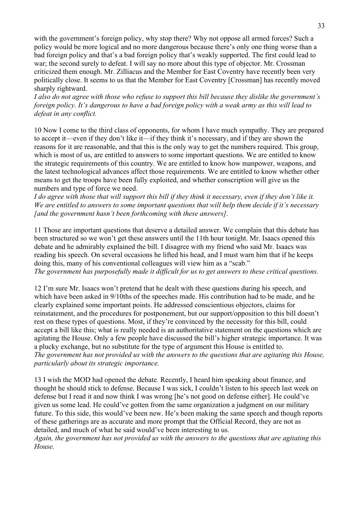with the government's foreign policy, why stop there? Why not oppose all armed forces? Such a policy would be more logical and no more dangerous because there's only one thing worse than a bad foreign policy and that's a bad foreign policy that's weakly supported. The first could lead to war; the second surely to defeat. I will say no more about this type of objector. Mr. Crossman criticized them enough. Mr. Zilliacus and the Member for East Coventry have recently been very politically close. It seems to us that the Member for East Coventry [Crossman] has recently moved sharply rightward.

*I also do not agree with those who refuse to support this bill because they dislike the government's foreign policy. It's dangerous to have a bad foreign policy with a weak army as this will lead to defeat in any conflict.* 

10 Now I come to the third class of opponents, for whom I have much sympathy. They are prepared to accept it—even if they don't like it—if they think it's necessary, and if they are shown the reasons for it are reasonable, and that this is the only way to get the numbers required. This group, which is most of us, are entitled to answers to some important questions. We are entitled to know the strategic requirements of this country. We are entitled to know how manpower, weapons, and the latest technological advances affect those requirements. We are entitled to know whether other means to get the troops have been fully exploited, and whether conscription will give us the numbers and type of force we need.

*I do agree with those that will support this bill if they think it necessary, even if they don't like it. We are entitled to answers to some important questions that will help them decide if it's necessary [and the government hasn't been forthcoming with these answers].*

11 Those are important questions that deserve a detailed answer. We complain that this debate has been structured so we won't get these answers until the 11th hour tonight. Mr. Isaacs opened this debate and he admirably explained the bill. I disagree with my friend who said Mr. Isaacs was reading his speech. On several occasions he lifted his head, and I must warn him that if he keeps doing this, many of his conventional colleagues will view him as a "scab." *The government has purposefully made it difficult for us to get answers to these critical questions.*

12 I'm sure Mr. Isaacs won't pretend that he dealt with these questions during his speech, and which have been asked in 9/10ths of the speeches made. His contribution had to be made, and he clearly explained some important points. He addressed conscientious objectors, claims for reinstatement, and the procedures for postponement, but our support/opposition to this bill doesn't rest on these types of questions. Most, if they're convinced by the necessity for this bill, could accept a bill like this; what is really needed is an authoritative statement on the questions which are agitating the House. Only a few people have discussed the bill's higher strategic importance. It was a plucky exchange, but no substitute for the type of argument this House is entitled to. *The government has not provided us with the answers to the questions that are agitating this House, particularly about its strategic importance.* 

13 I wish the MOD had opened the debate. Recently, I heard him speaking about finance, and thought he should stick to defense. Because I was sick, I couldn't listen to his speech last week on defense but I read it and now think I was wrong [he's not good on defense either]. He could've given us some lead. He could've gotten from the same organization a judgment on our military future. To this side, this would've been new. He's been making the same speech and though reports of these gatherings are as accurate and more prompt that the Official Record, they are not as detailed, and much of what he said would've been interesting to us.

*Again, the government has not provided us with the answers to the questions that are agitating this House.*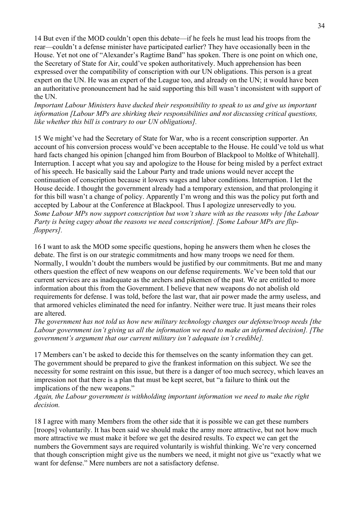14 But even if the MOD couldn't open this debate—if he feels he must lead his troops from the rear—couldn't a defense minister have participated earlier? They have occasionally been in the House. Yet not one of "Alexander's Ragtime Band" has spoken. There is one point on which one, the Secretary of State for Air, could've spoken authoritatively. Much apprehension has been expressed over the compatibility of conscription with our UN obligations. This person is a great expert on the UN. He was an expert of the League too, and already on the UN; it would have been an authoritative pronouncement had he said supporting this bill wasn't inconsistent with support of the UN.

*Important Labour Ministers have ducked their responsibility to speak to us and give us important information [Labour MPs are shirking their responsibilities and not discussing critical questions, like whether this bill is contrary to our UN obligations].* 

15 We might've had the Secretary of State for War, who is a recent conscription supporter. An account of his conversion process would've been acceptable to the House. He could've told us what hard facts changed his opinion [changed him from Bourbon of Blackpool to Moltke of Whitehall]. Interruption. I accept what you say and apologize to the House for being misled by a perfect extract of his speech. He basically said the Labour Party and trade unions would never accept the continuation of conscription because it lowers wages and labor conditions. Interruption. I let the House decide. I thought the government already had a temporary extension, and that prolonging it for this bill wasn't a change of policy. Apparently I'm wrong and this was the policy put forth and accepted by Labour at the Conference at Blackpool. Thus I apologize unreservedly to you. *Some Labour MPs now support conscription but won't share with us the reasons why [the Labour Party is being cagey about the reasons we need conscription]. [Some Labour MPs are flipfloppers].*

16 I want to ask the MOD some specific questions, hoping he answers them when he closes the debate. The first is on our strategic commitments and how many troops we need for them. Normally, I wouldn't doubt the numbers would be justified by our commitments. But me and many others question the effect of new weapons on our defense requirements. We've been told that our current services are as inadequate as the archers and pikemen of the past. We are entitled to more information about this from the Government. I believe that new weapons do not abolish old requirements for defense. I was told, before the last war, that air power made the army useless, and that armored vehicles eliminated the need for infantry. Neither were true. It just means their roles are altered.

*The government has not told us how new military technology changes our defense/troop needs [the Labour government isn't giving us all the information we need to make an informed decision]. [The government's argument that our current military isn't adequate isn't credible].*

17 Members can't be asked to decide this for themselves on the scanty information they can get. The government should be prepared to give the frankest information on this subject. We see the necessity for some restraint on this issue, but there is a danger of too much secrecy, which leaves an impression not that there is a plan that must be kept secret, but "a failure to think out the implications of the new weapons."

*Again, the Labour government is withholding important information we need to make the right decision.*

18 I agree with many Members from the other side that it is possible we can get these numbers [troops] voluntarily. It has been said we should make the army more attractive, but not how much more attractive we must make it before we get the desired results. To expect we can get the numbers the Government says are required voluntarily is wishful thinking. We're very concerned that though conscription might give us the numbers we need, it might not give us "exactly what we want for defense." Mere numbers are not a satisfactory defense.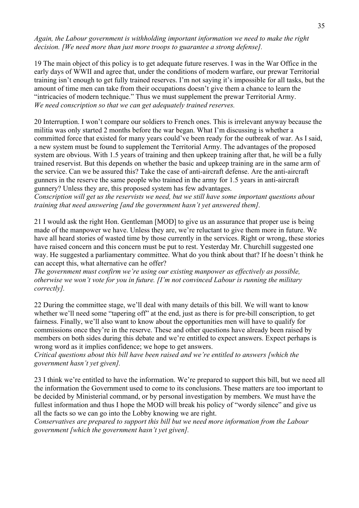*Again, the Labour government is withholding important information we need to make the right decision. [We need more than just more troops to guarantee a strong defense].*

19 The main object of this policy is to get adequate future reserves. I was in the War Office in the early days of WWII and agree that, under the conditions of modern warfare, our prewar Territorial training isn't enough to get fully trained reserves. I'm not saying it's impossible for all tasks, but the amount of time men can take from their occupations doesn't give them a chance to learn the "intricacies of modern technique." Thus we must supplement the prewar Territorial Army. *We need conscription so that we can get adequately trained reserves.*

20 Interruption. I won't compare our soldiers to French ones. This is irrelevant anyway because the militia was only started 2 months before the war began. What I'm discussing is whether a committed force that existed for many years could've been ready for the outbreak of war. As I said, a new system must be found to supplement the Territorial Army. The advantages of the proposed system are obvious. With 1.5 years of training and then upkeep training after that, he will be a fully trained reservist. But this depends on whether the basic and upkeep training are in the same arm of the service. Can we be assured this? Take the case of anti-aircraft defense. Are the anti-aircraft gunners in the reserve the same people who trained in the army for 1.5 years in anti-aircraft gunnery? Unless they are, this proposed system has few advantages.

*Conscription will get us the reservists we need, but we still have some important questions about training that need answering [and the government hasn't yet answered them].*

21 I would ask the right Hon. Gentleman [MOD] to give us an assurance that proper use is being made of the manpower we have. Unless they are, we're reluctant to give them more in future. We have all heard stories of wasted time by those currently in the services. Right or wrong, these stories have raised concern and this concern must be put to rest. Yesterday Mr. Churchill suggested one way. He suggested a parliamentary committee. What do you think about that? If he doesn't think he can accept this, what alternative can he offer?

*The government must confirm we're using our existing manpower as effectively as possible, otherwise we won't vote for you in future. [I'm not convinced Labour is running the military correctly].*

22 During the committee stage, we'll deal with many details of this bill. We will want to know whether we'll need some "tapering off" at the end, just as there is for pre-bill conscription, to get fairness. Finally, we'll also want to know about the opportunities men will have to qualify for commissions once they're in the reserve. These and other questions have already been raised by members on both sides during this debate and we're entitled to expect answers. Expect perhaps is wrong word as it implies confidence; we hope to get answers.

*Critical questions about this bill have been raised and we're entitled to answers [which the government hasn't yet given].*

23 I think we're entitled to have the information. We're prepared to support this bill, but we need all the information the Government used to come to its conclusions. These matters are too important to be decided by Ministerial command, or by personal investigation by members. We must have the fullest information and thus I hope the MOD will break his policy of "wordy silence" and give us all the facts so we can go into the Lobby knowing we are right.

*Conservatives are prepared to support this bill but we need more information from the Labour government [which the government hasn't yet given].*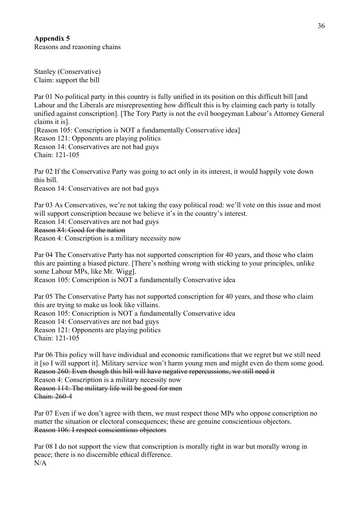# **Appendix 5** Reasons and reasoning chains

Stanley (Conservative) Claim: support the bill

Par 01 No political party in this country is fully unified in its position on this difficult bill [and Labour and the Liberals are misrepresenting how difficult this is by claiming each party is totally unified against conscription]. [The Tory Party is not the evil boogeyman Labour's Attorney General claims it is].

[Reason 105: Conscription is NOT a fundamentally Conservative idea] Reason 121: Opponents are playing politics Reason 14: Conservatives are not bad guys Chain: 121-105

Par 02 If the Conservative Party was going to act only in its interest, it would happily vote down this bill.

Reason 14: Conservatives are not bad guys

Par 03 As Conservatives, we're not taking the easy political road: we'll vote on this issue and most will support conscription because we believe it's in the country's interest. Reason 14: Conservatives are not bad guys Reason 84: Good for the nation Reason 4: Conscription is a military necessity now

Par 04 The Conservative Party has not supported conscription for 40 years, and those who claim this are painting a biased picture. [There's nothing wrong with sticking to your principles, unlike some Labour MPs, like Mr. Wigg].

Reason 105: Conscription is NOT a fundamentally Conservative idea

Par 05 The Conservative Party has not supported conscription for 40 years, and those who claim this are trying to make us look like villains. Reason 105: Conscription is NOT a fundamentally Conservative idea Reason 14: Conservatives are not bad guys Reason 121: Opponents are playing politics Chain: 121-105

Par 06 This policy will have individual and economic ramifications that we regret but we still need it [so I will support it]. Military service won't harm young men and might even do them some good. Reason 260: Even though this bill will have negative repercussions, we still need it

Reason 4: Conscription is a military necessity now Reason 114: The military life will be good for men Chain: 260-4

Par 07 Even if we don't agree with them, we must respect those MPs who oppose conscription no matter the situation or electoral consequences; these are genuine conscientious objectors. Reason 106: I respect conscientious objectors

Par 08 I do not support the view that conscription is morally right in war but morally wrong in peace; there is no discernible ethical difference. N/A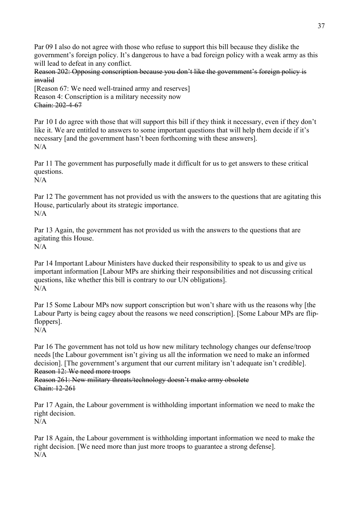Par 09 I also do not agree with those who refuse to support this bill because they dislike the government's foreign policy. It's dangerous to have a bad foreign policy with a weak army as this will lead to defeat in any conflict.

Reason 202: Opposing conscription because you don't like the government's foreign policy is invalid

[Reason 67: We need well-trained army and reserves] Reason 4: Conscription is a military necessity now Chain: 202-4-67

Par 10 I do agree with those that will support this bill if they think it necessary, even if they don't like it. We are entitled to answers to some important questions that will help them decide if it's necessary [and the government hasn't been forthcoming with these answers]. N/A

Par 11 The government has purposefully made it difficult for us to get answers to these critical questions.

 $N/A$ 

Par 12 The government has not provided us with the answers to the questions that are agitating this House, particularly about its strategic importance. N/A

Par 13 Again, the government has not provided us with the answers to the questions that are agitating this House. N/A

Par 14 Important Labour Ministers have ducked their responsibility to speak to us and give us important information [Labour MPs are shirking their responsibilities and not discussing critical questions, like whether this bill is contrary to our UN obligations].  $N/A$ 

Par 15 Some Labour MPs now support conscription but won't share with us the reasons why [the Labour Party is being cagey about the reasons we need conscription]. [Some Labour MPs are flipfloppers].

N/A

Par 16 The government has not told us how new military technology changes our defense/troop needs [the Labour government isn't giving us all the information we need to make an informed decision]. [The government's argument that our current military isn't adequate isn't credible]. Reason 12: We need more troops

Reason 261: New military threats/technology doesn't make army obsolete Chain: 12-261

Par 17 Again, the Labour government is withholding important information we need to make the right decision.  $N/A$ 

Par 18 Again, the Labour government is withholding important information we need to make the right decision. [We need more than just more troops to guarantee a strong defense]. N/A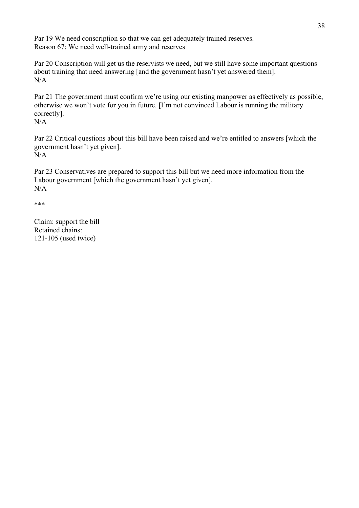Par 19 We need conscription so that we can get adequately trained reserves. Reason 67: We need well-trained army and reserves

Par 20 Conscription will get us the reservists we need, but we still have some important questions about training that need answering [and the government hasn't yet answered them].  $N/A$ 

Par 21 The government must confirm we're using our existing manpower as effectively as possible, otherwise we won't vote for you in future. [I'm not convinced Labour is running the military correctly]. N/A

Par 22 Critical questions about this bill have been raised and we're entitled to answers [which the government hasn't yet given]. N/A

Par 23 Conservatives are prepared to support this bill but we need more information from the Labour government [which the government hasn't yet given]. N/A

\*\*\*

Claim: support the bill Retained chains: 121-105 (used twice)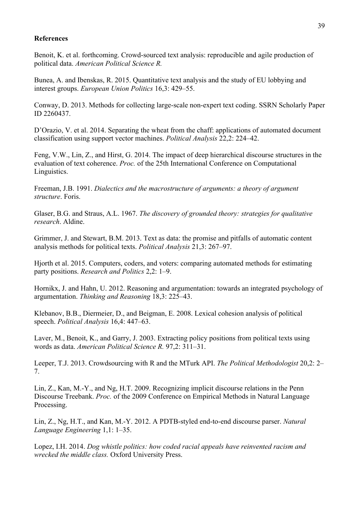## **References**

Benoit, K. et al. forthcoming. Crowd-sourced text analysis: reproducible and agile production of political data. *American Political Science R.*

Bunea, A. and Ibenskas, R. 2015. Quantitative text analysis and the study of EU lobbying and interest groups. *European Union Politics* 16,3: 429–55.

Conway, D. 2013. Methods for collecting large-scale non-expert text coding. SSRN Scholarly Paper ID 2260437.

D'Orazio, V. et al. 2014. Separating the wheat from the chaff: applications of automated document classification using support vector machines. *Political Analysis* 22,2: 224–42.

Feng, V.W., Lin, Z., and Hirst, G. 2014. The impact of deep hierarchical discourse structures in the evaluation of text coherence. *Proc.* of the 25th International Conference on Computational Linguistics.

Freeman, J.B. 1991. *Dialectics and the macrostructure of arguments: a theory of argument structure*. Foris.

Glaser, B.G. and Straus, A.L. 1967. *The discovery of grounded theory: strategies for qualitative research*. Aldine.

Grimmer, J. and Stewart, B.M. 2013. Text as data: the promise and pitfalls of automatic content analysis methods for political texts. *Political Analysis* 21,3: 267–97.

Hjorth et al. 2015. Computers, coders, and voters: comparing automated methods for estimating party positions. *Research and Politics* 2,2: 1–9.

Hornikx, J. and Hahn, U. 2012. Reasoning and argumentation: towards an integrated psychology of argumentation. *Thinking and Reasoning* 18,3: 225–43.

Klebanov, B.B., Diermeier, D., and Beigman, E. 2008. Lexical cohesion analysis of political speech. *Political Analysis* 16,4: 447–63.

Laver, M., Benoit, K., and Garry, J. 2003. Extracting policy positions from political texts using words as data. *American Political Science R.* 97,2: 311–31.

Leeper, T.J. 2013. Crowdsourcing with R and the MTurk API. *The Political Methodologist* 20,2: 2– 7.

Lin, Z., Kan, M.-Y., and Ng, H.T. 2009. Recognizing implicit discourse relations in the Penn Discourse Treebank. *Proc.* of the 2009 Conference on Empirical Methods in Natural Language Processing.

Lin, Z., Ng, H.T., and Kan, M.-Y. 2012. A PDTB-styled end-to-end discourse parser. *Natural Language Engineering* 1,1: 1–35.

Lopez, I.H. 2014. *Dog whistle politics: how coded racial appeals have reinvented racism and wrecked the middle class.* Oxford University Press.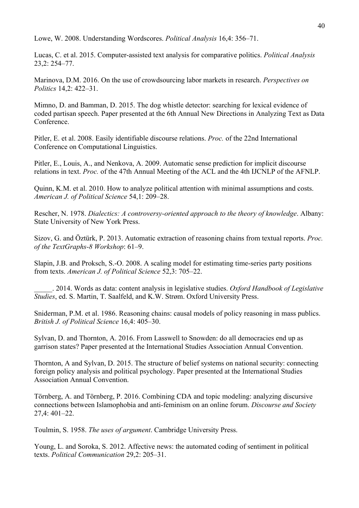Lowe, W. 2008. Understanding Wordscores. *Political Analysis* 16,4: 356–71.

Lucas, C. et al. 2015. Computer-assisted text analysis for comparative politics. *Political Analysis* 23,2: 254–77.

Marinova, D.M. 2016. On the use of crowdsourcing labor markets in research. *Perspectives on Politics* 14,2: 422–31.

Mimno, D. and Bamman, D. 2015. The dog whistle detector: searching for lexical evidence of coded partisan speech. Paper presented at the 6th Annual New Directions in Analyzing Text as Data **Conference** 

Pitler, E. et al. 2008. Easily identifiable discourse relations. *Proc.* of the 22nd International Conference on Computational Linguistics.

Pitler, E., Louis, A., and Nenkova, A. 2009. Automatic sense prediction for implicit discourse relations in text. *Proc.* of the 47th Annual Meeting of the ACL and the 4th IJCNLP of the AFNLP.

Quinn, K.M. et al. 2010. How to analyze political attention with minimal assumptions and costs. *American J. of Political Science* 54,1: 209–28.

Rescher, N. 1978. *Dialectics: A controversy-oriented approach to the theory of knowledge*. Albany: State University of New York Press.

Sizov, G. and Öztürk, P. 2013. Automatic extraction of reasoning chains from textual reports. *Proc. of the TextGraphs-8 Workshop*: 61–9.

Slapin, J.B. and Proksch, S.-O. 2008. A scaling model for estimating time-series party positions from texts. *American J. of Political Science* 52,3: 705–22.

\_\_\_\_\_. 2014. Words as data: content analysis in legislative studies. *Oxford Handbook of Legislative Studies*, ed. S. Martin, T. Saalfeld, and K.W. Strøm. Oxford University Press.

Sniderman, P.M. et al. 1986. Reasoning chains: causal models of policy reasoning in mass publics. *British J. of Political Science* 16,4: 405–30.

Sylvan, D. and Thornton, A. 2016. From Lasswell to Snowden: do all democracies end up as garrison states? Paper presented at the International Studies Association Annual Convention.

Thornton, A and Sylvan, D. 2015. The structure of belief systems on national security: connecting foreign policy analysis and political psychology. Paper presented at the International Studies Association Annual Convention.

Törnberg, A. and Törnberg, P. 2016. Combining CDA and topic modeling: analyzing discursive connections between Islamophobia and anti-feminism on an online forum. *Discourse and Society* 27,4: 401–22.

Toulmin, S. 1958. *The uses of argument*. Cambridge University Press.

Young, L. and Soroka, S. 2012. Affective news: the automated coding of sentiment in political texts. *Political Communication* 29,2: 205–31.